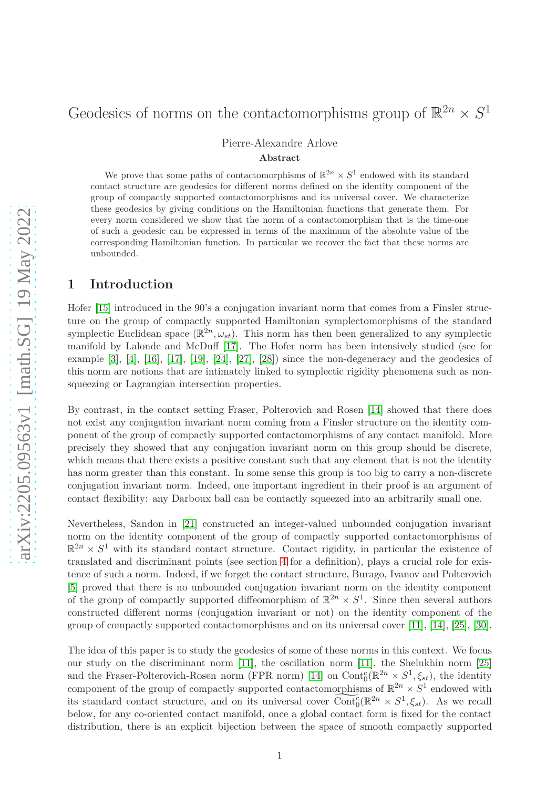#### Pierre-Alexandre Arlove

#### **Abstract**

We prove that some paths of contactomorphisms of  $\mathbb{R}^{2n} \times S^1$  endowed with its standard contact structure are geodesics for different norms defined on the identity component of the group of compactly supported contactomorphisms and its universal cover. We characterize these geodesics by giving conditions on the Hamiltonian functions that generate them. For every norm considered we show that the norm of a contactomorphism that is the time-one of such a geodesic can be expressed in terms of the maximum of the absolute value of the corresponding Hamiltonian function. In particular we recover the fact that these norms are unbounded.

## **1 Introduction**

Hofer [\[15\]](#page-26-0) introduced in the 90's a conjugation invariant norm that comes from a Finsler structure on the group of compactly supported Hamiltonian symplectomorphisms of the standard symplectic Euclidean space  $(\mathbb{R}^{2n}, \omega_{st})$ . This norm has then been generalized to any symplectic manifold by Lalonde and McDuff [\[17\]](#page-26-1). The Hofer norm has been intensively studied (see for example [\[3\]](#page-25-0), [\[4\]](#page-25-1), [\[16\]](#page-26-2), [\[17\]](#page-26-1), [\[19\]](#page-26-3), [\[24\]](#page-26-4), [\[27\]](#page-26-5), [\[28\]](#page-27-0)) since the non-degeneracy and the geodesics of this norm are notions that are intimately linked to symplectic rigidity phenomena such as nonsqueezing or Lagrangian intersection properties.

By contrast, in the contact setting Fraser, Polterovich and Rosen [\[14\]](#page-26-6) showed that there does not exist any conjugation invariant norm coming from a Finsler structure on the identity component of the group of compactly supported contactomorphisms of any contact manifold. More precisely they showed that any conjugation invariant norm on this group should be discrete, which means that there exists a positive constant such that any element that is not the identity has norm greater than this constant. In some sense this group is too big to carry a non-discrete conjugation invariant norm. Indeed, one important ingredient in their proof is an argument of contact flexibility: any Darboux ball can be contactly squeezed into an arbitrarily small one.

Nevertheless, Sandon in [\[21\]](#page-26-7) constructed an integer-valued unbounded conjugation invariant norm on the identity component of the group of compactly supported contactomorphisms of  $\mathbb{R}^{2n} \times S^1$  with its standard contact structure. Contact rigidity, in particular the existence of translated and discriminant points (see section [4](#page-11-0) for a definition), plays a crucial role for existence of such a norm. Indeed, if we forget the contact structure, Burago, Ivanov and Polterovich [\[5\]](#page-25-2) proved that there is no unbounded conjugation invariant norm on the identity component of the group of compactly supported diffeomorphism of  $\mathbb{R}^{2n} \times S^1$ . Since then several authors constructed different norms (conjugation invariant or not) on the identity component of the group of compactly supported contactomorphisms and on its universal cover [\[11\]](#page-26-8), [\[14\]](#page-26-6), [\[25\]](#page-26-9), [\[30\]](#page-27-1).

The idea of this paper is to study the geodesics of some of these norms in this context. We focus our study on the discriminant norm [\[11\]](#page-26-8), the oscillation norm [\[11\]](#page-26-8), the Shelukhin norm [\[25\]](#page-26-9) and the Fraser-Polterovich-Rosen norm (FPR norm) [\[14\]](#page-26-6) on  $\text{Cont}_{0}^{c}(\mathbb{R}^{2n} \times S^{1}, \xi_{st})$ , the identity component of the group of compactly supported contactomorphisms of  $\mathbb{R}^{2n} \times S^1$  endowed with its standard contact structure, and on its universal cover  $\widetilde{\text{Cont}}_0^c(\mathbb{R}^{2n} \times S^1, \xi_{st})$ . As we recall below, for any co-oriented contact manifold, once a global contact form is fixed for the contact distribution, there is an explicit bijection between the space of smooth compactly supported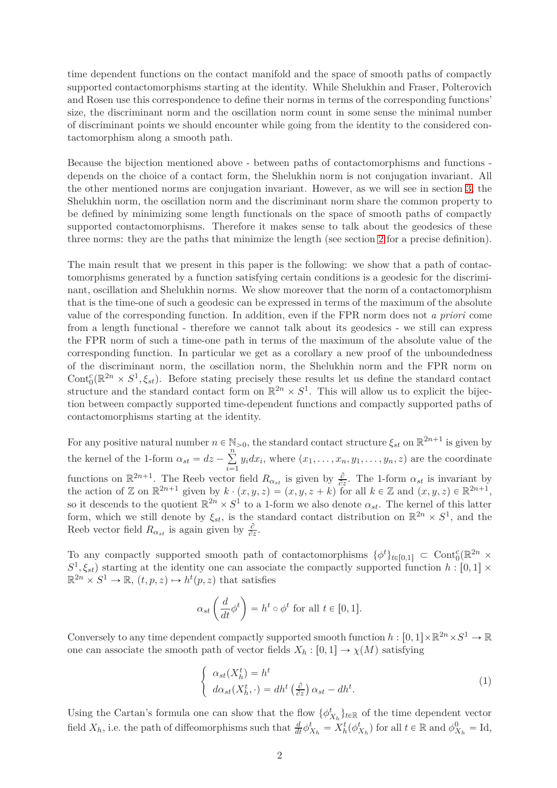time dependent functions on the contact manifold and the space of smooth paths of compactly supported contactomorphisms starting at the identity. While Shelukhin and Fraser, Polterovich and Rosen use this correspondence to define their norms in terms of the corresponding functions' size, the discriminant norm and the oscillation norm count in some sense the minimal number of discriminant points we should encounter while going from the identity to the considered contactomorphism along a smooth path.

Because the bijection mentioned above - between paths of contactomorphisms and functions depends on the choice of a contact form, the Shelukhin norm is not conjugation invariant. All the other mentioned norms are conjugation invariant. However, as we will see in section [3,](#page-7-0) the Shelukhin norm, the oscillation norm and the discriminant norm share the common property to be defined by minimizing some length functionals on the space of smooth paths of compactly supported contactomorphisms. Therefore it makes sense to talk about the geodesics of these three norms: they are the paths that minimize the length (see section [2](#page-4-0) for a precise definition).

The main result that we present in this paper is the following: we show that a path of contactomorphisms generated by a function satisfying certain conditions is a geodesic for the discriminant, oscillation and Shelukhin norms. We show moreover that the norm of a contactomorphism that is the time-one of such a geodesic can be expressed in terms of the maximum of the absolute value of the corresponding function. In addition, even if the FPR norm does not *a priori* come from a length functional - therefore we cannot talk about its geodesics - we still can express the FPR norm of such a time-one path in terms of the maximum of the absolute value of the corresponding function. In particular we get as a corollary a new proof of the unboundedness of the discriminant norm, the oscillation norm, the Shelukhin norm and the FPR norm on Cont<sup>c</sup><sub>0</sub>( $\mathbb{R}^{2n} \times S^1$ ,  $\xi_{st}$ ). Before stating precisely these results let us define the standard contact structure and the standard contact form on  $\mathbb{R}^{2n} \times S^1$ . This will allow us to explicit the bijection between compactly supported time-dependent functions and compactly supported paths of contactomorphisms starting at the identity.

For any positive natural number  $n \in \mathbb{N}_{>0}$ , the standard contact structure  $\xi_{st}$  on  $\mathbb{R}^{2n+1}$  is given by the kernel of the 1-form  $\alpha_{st} = dz - \sum_{i=1}^{n}$  $i = 1$  $y_i dx_i$ , where  $(x_1, \ldots, x_n, y_1, \ldots, y_n, z)$  are the coordinate functions on  $\mathbb{R}^{2n+1}$ . The Reeb vector field  $R_{\alpha_{st}}$  is given by  $\frac{\partial}{\partial z}$ . The 1-form  $\alpha_{st}$  is invariant by the action of Z on  $\mathbb{R}^{2n+1}$  given by  $k \cdot (x, y, z) = (x, y, z + k)$  for all  $k \in \mathbb{Z}$  and  $(x, y, z) \in \mathbb{R}^{2n+1}$ , so it descends to the quotient  $\mathbb{R}^{2n} \times S^1$  to a 1-form we also denote  $\alpha_{st}$ . The kernel of this latter form, which we still denote by  $\xi_{st}$ , is the standard contact distribution on  $\mathbb{R}^{2n} \times S^1$ , and the Reeb vector field  $R_{\alpha_{st}}$  is again given by  $\frac{\partial}{\partial z}$ .

To any compactly supported smooth path of contactomorphisms  $\{\phi^t\}_{t\in[0,1]}$   $\subset$  Cont ${}^c_0(\mathbb{R}^{2n}\times$  $S^1$ ,  $\xi_{st}$ ) starting at the identity one can associate the compactly supported function *h* : [0, 1]  $\times$  $\mathbb{R}^{2n} \times S^1 \to \mathbb{R}, (t, p, z) \mapsto h^t(p, z)$  that satisfies

$$
\alpha_{st}\left(\frac{d}{dt}\phi^t\right) = h^t \circ \phi^t \text{ for all } t \in [0,1].
$$

Conversely to any time dependent compactly supported smooth function  $h: [0,1] \times \mathbb{R}^{2n} \times S^1 \to \mathbb{R}$ one can associate the smooth path of vector fields  $X_h : [0,1] \rightarrow \chi(M)$  satisfying

<span id="page-1-0"></span>
$$
\begin{cases}\n\alpha_{st}(X_h^t) = h^t \\
d\alpha_{st}(X_h^t, \cdot) = dh^t\left(\frac{\partial}{\partial z}\right)\alpha_{st} - dh^t.\n\end{cases} \tag{1}
$$

Using the Cartan's formula one can show that the flow  $\{\phi_{X_h}^t\}_{t\in\mathbb{R}}$  of the time dependent vector field  $X_h$ , i.e. the path of diffeomorphisms such that  $\frac{d}{dt}\phi_{X_h}^t = X_h^t(\phi_{X_h}^t)$  for all  $t \in \mathbb{R}$  and  $\phi_{X_h}^0 = \text{Id}$ ,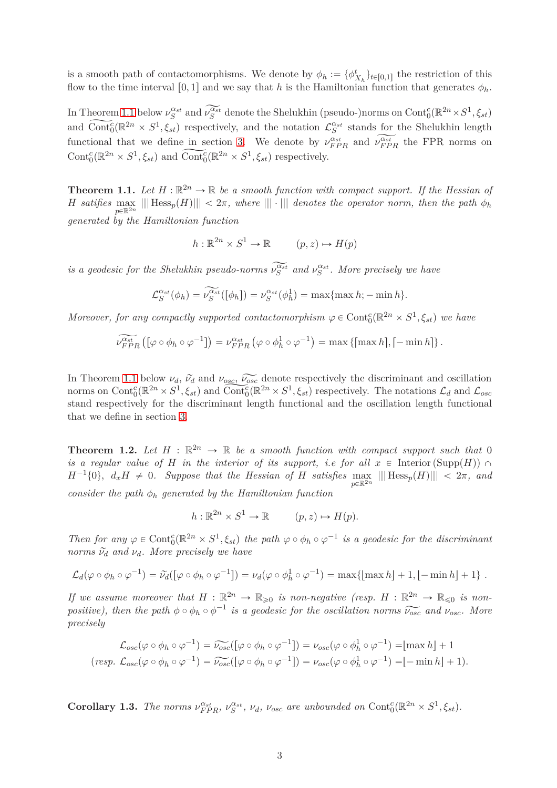is a smooth path of contactomorphisms. We denote by  $\phi_h := {\phi_{X_h}^t}_{t \in [0,1]}$  the restriction of this flow to the time interval [0, 1] and we say that *h* is the Hamiltonian function that generates  $\phi_h$ .

In Theorem [1.1](#page-2-0) below  $\nu_S^{\alpha_{st}}$  and  $\widetilde{\nu_S^{\alpha_{st}}}$  denote the Shelukhin (pseudo-)norms on Cont ${}^c_0(\mathbb{R}^{2n}\times S^1,\xi_{st})$ and  $\widetilde{\text{Cont}_0^c}(\mathbb{R}^{2n} \times S^1, \xi_{st})$  respectively, and the notation  $\mathcal{L}_S^{\alpha_{st}}$  stands for the Shelukhin length functional that we define in section [3.](#page-7-0) We denote by  $\nu_{FPR}^{\alpha_{st}}$  and  $\nu_{FPR}^{\alpha_{st}}$  the FPR norms on Cont<sup>c</sup><sub>0</sub><sup>( $\mathbb{R}^{2n} \times S^1$ ,  $\xi_{st}$ ) and Cont<sub>c</sub><sup>c</sup><sub>6</sub>( $\mathbb{R}^{2n} \times S^1$ ,  $\xi_{st}$ ) respectively.</sup>

<span id="page-2-0"></span>**Theorem 1.1.** Let  $H : \mathbb{R}^{2n} \to \mathbb{R}$  be a smooth function with compact support. If the Hessian of  $H$  *satifies*  $\max_{p \in \mathbb{R}^{2n}} |||$   $Hess_p(H) ||| < 2\pi$ , where  $||| \cdot |||$  *denotes the operator norm, then the path*  $\phi_h$ *generated by the Hamiltonian function*

$$
h: \mathbb{R}^{2n} \times S^1 \to \mathbb{R} \qquad (p, z) \mapsto H(p)
$$

*is a geodesic for the Shelukhin pseudo-norms*  $\nu_S^{\alpha_{st}}$  and  $\nu_S^{\alpha_{st}}$ . More precisely we have

$$
\mathcal{L}_S^{\alpha_{st}}(\phi_h) = \widetilde{\nu_S^{\alpha_{st}}}([\phi_h]) = \nu_S^{\alpha_{st}}(\phi_h^1) = \max\{\max h; -\min h\}.
$$

*Moreover, for any compactly supported contactomorphism*  $\varphi \in \text{Cont}_{0}^{c}(\mathbb{R}^{2n} \times S^{1}, \xi_{st})$  we have

$$
\widetilde{\nu_{FPR}^{\alpha_{st}}} \left( \left[ \varphi \circ \phi_h \circ \varphi^{-1} \right] \right) = \nu_{FPR}^{\alpha_{st}} \left( \varphi \circ \phi_h^1 \circ \varphi^{-1} \right) = \max \left\{ \left[ \max h \right], \left[ -\min h \right] \right\}.
$$

In Theorem [1.1](#page-2-0) below  $\nu_d$ ,  $\tilde{\nu}_d$  and  $\nu_{osc}$ ,  $\tilde{\nu}_{osc}$  denote respectively the discriminant and oscillation norms on  $\text{Cont}_{0}^{c}(\mathbb{R}^{2n} \times S^{1}, \xi_{st})$  and  $\widetilde{\text{Cont}_{0}^{c}}(\mathbb{R}^{2n} \times S^{1}, \xi_{st})$  respectively. The notations  $\mathcal{L}_{d}$  and  $\mathcal{L}_{osc}$ stand respectively for the discriminant length functional and the oscillation length functional that we define in section [3.](#page-7-0)

<span id="page-2-1"></span>**Theorem 1.2.** Let  $H : \mathbb{R}^{2n} \to \mathbb{R}$  be a smooth function with compact support such that 0 *is a regular value of H in the interior of its support, i.e for all*  $x \in$  Interior (Supp(*H*))  $\cap$  $H^{-1}{0}$ ,  $d_xH \neq 0$ . Suppose that the Hessian of *H* satisfies  $\max_{p \in \mathbb{R}^{2n}} |||$  Hess<sub>*p*</sub>(*H*)||  $\lt 2\pi$ , and *consider the path*  $\phi_h$  *generated by the Hamiltonian function* 

$$
h: \mathbb{R}^{2n} \times S^1 \to \mathbb{R} \qquad (p, z) \mapsto H(p).
$$

*Then for any*  $\varphi \in \text{Cont}^c_0(\mathbb{R}^{2n} \times S^1, \xi_{st})$  the path  $\varphi \circ \phi_h \circ \varphi^{-1}$  is a geodesic for the discriminant *norms*  $\tilde{\nu}_d$  *and*  $\nu_d$ *. More precisely we have* 

$$
\mathcal{L}_d(\varphi \circ \phi_h \circ \varphi^{-1}) = \widetilde{\nu}_d([\varphi \circ \phi_h \circ \varphi^{-1}]) = \nu_d(\varphi \circ \phi_h^1 \circ \varphi^{-1}) = \max\{[\max h] + 1, [-\min h] + 1\}.
$$

If we assume moreover that  $H : \mathbb{R}^{2n} \to \mathbb{R}_{\geqslant 0}$  is non-negative (resp.  $H : \mathbb{R}^{2n} \to \mathbb{R}_{\leqslant 0}$  is non*positive), then the path*  $\phi \circ \phi_h \circ \phi^{-1}$  *is a geodesic for the oscillation norms*  $\widetilde{\nu_{osc}}$  *and*  $\nu_{osc}$ *. More precisely*

$$
\mathcal{L}_{osc}(\varphi \circ \phi_h \circ \varphi^{-1}) = \widetilde{\nu_{osc}}([\varphi \circ \phi_h \circ \varphi^{-1}]) = \nu_{osc}(\varphi \circ \phi_h^1 \circ \varphi^{-1}) = [\max h] + 1
$$
  
(resp.  $\mathcal{L}_{osc}(\varphi \circ \phi_h \circ \varphi^{-1}) = \widetilde{\nu_{osc}}([\varphi \circ \phi_h \circ \varphi^{-1}]) = \nu_{osc}(\varphi \circ \phi_h^1 \circ \varphi^{-1}) = [-\min h] + 1).$ 

<span id="page-2-2"></span>**Corollary 1.3.** The norms  $\nu_{FPR}^{\alpha_{st}}, \nu_{S}^{\alpha_{st}}, \nu_{d}, \nu_{osc}$  are unbounded on Cont<sub>6</sub><sup>( $\mathbb{R}^{2n} \times S^{1}, \xi_{st}$ ).</sup>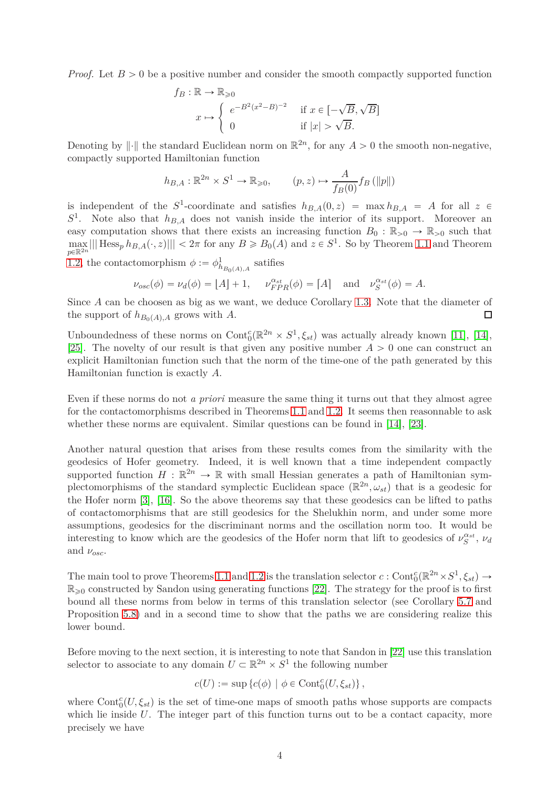*Proof.* Let  $B > 0$  be a positive number and consider the smooth compactly supported function

$$
f_B: \mathbb{R} \to \mathbb{R}_{\geq 0}
$$
  

$$
x \mapsto \begin{cases} e^{-B^2(x^2 - B)^{-2}} & \text{if } x \in [-\sqrt{B}, \sqrt{B}] \\ 0 & \text{if } |x| > \sqrt{B}. \end{cases}
$$

Denoting by  $\|\cdot\|$  the standard Euclidean norm on  $\mathbb{R}^{2n}$ , for any  $A > 0$  the smooth non-negative, compactly supported Hamiltonian function

$$
h_{B,A}: \mathbb{R}^{2n} \times S^1 \to \mathbb{R}_{\geq 0}, \qquad (p,z) \mapsto \frac{A}{f_B(0)} f_B(\|p\|)
$$

is independent of the  $S^1$ -coordinate and satisfies  $h_{B,A}(0, z) = \max_{A} h_{B,A} = A$  for all  $z \in$  $S<sup>1</sup>$ . Note also that  $h_{B,A}$  does not vanish inside the interior of its support. Moreover an easy computation shows that there exists an increasing function  $B_0 : \mathbb{R}_{>0} \to \mathbb{R}_{>0}$  such that  $\max_{n\in\mathbb{R}^{2n}} |||\operatorname{Hess}_p h_{B,A}(\cdot,z)||| < 2\pi$  for any  $B \ge B_0(A)$  and  $z \in S^1$ . So by Theorem [1.1](#page-2-0) and Theorem  $p \in \mathbb{R}^2$ [1.2,](#page-2-1) the contactomorphism  $\phi := \phi_{h_{B_0(A),A}}^1$  satifies

$$
\nu_{osc}(\phi) = \nu_d(\phi) = [A] + 1, \quad \nu_{FPR}^{\alpha_{st}}(\phi) = [A] \quad \text{and} \quad \nu_S^{\alpha_{st}}(\phi) = A.
$$

Since *A* can be choosen as big as we want, we deduce Corollary [1.3.](#page-2-2) Note that the diameter of the support of  $h_{B_0(A),A}$  grows with *A*.  $\Box$ 

Unboundedness of these norms on  $Cont_0^c(\mathbb{R}^{2n} \times S^1, \xi_{st})$  was actually already known [\[11\]](#page-26-8), [\[14\]](#page-26-6), [\[25\]](#page-26-9). The novelty of our result is that given any positive number  $A > 0$  one can construct an explicit Hamiltonian function such that the norm of the time-one of the path generated by this Hamiltonian function is exactly *A*.

Even if these norms do not *a priori* measure the same thing it turns out that they almost agree for the contactomorphisms described in Theorems [1.1](#page-2-0) and [1.2.](#page-2-1) It seems then reasonnable to ask whether these norms are equivalent. Similar questions can be found in [\[14\]](#page-26-6), [\[23\]](#page-26-10).

Another natural question that arises from these results comes from the similarity with the geodesics of Hofer geometry. Indeed, it is well known that a time independent compactly supported function  $H : \mathbb{R}^{2n} \to \mathbb{R}$  with small Hessian generates a path of Hamiltonian symplectomorphisms of the standard symplectic Euclidean space  $(\mathbb{R}^{2n}, \omega_{st})$  that is a geodesic for the Hofer norm [\[3\]](#page-25-0), [\[16\]](#page-26-2). So the above theorems say that these geodesics can be lifted to paths of contactomorphisms that are still geodesics for the Shelukhin norm, and under some more assumptions, geodesics for the discriminant norms and the oscillation norm too. It would be interesting to know which are the geodesics of the Hofer norm that lift to geodesics of  $\nu_S^{\alpha_{st}}$ ,  $\nu_d$ and  $\nu_{osc}$ .

The main tool to prove Theorems [1.1](#page-2-0) and [1.2](#page-2-1) is the translation selector  $c:$  Cont $_{0}^{c}(\mathbb{R}^{2n}\times S^{1},\xi_{st})\to$  $\mathbb{R}_{\geq 0}$  constructed by Sandon using generating functions [\[22\]](#page-26-11). The strategy for the proof is to first bound all these norms from below in terms of this translation selector (see Corollary [5.7](#page-20-0) and Proposition [5.8\)](#page-21-0) and in a second time to show that the paths we are considering realize this lower bound.

Before moving to the next section, it is interesting to note that Sandon in [\[22\]](#page-26-11) use this translation selector to associate to any domain  $U \subset \mathbb{R}^{2n} \times S^1$  the following number

$$
c(U) := \sup \{c(\phi) \mid \phi \in \text{Cont}^c_0(U, \xi_{st})\},\
$$

where  $Cont_0^c(U,\xi_{st})$  is the set of time-one maps of smooth paths whose supports are compacts which lie inside *U*. The integer part of this function turns out to be a contact capacity, more precisely we have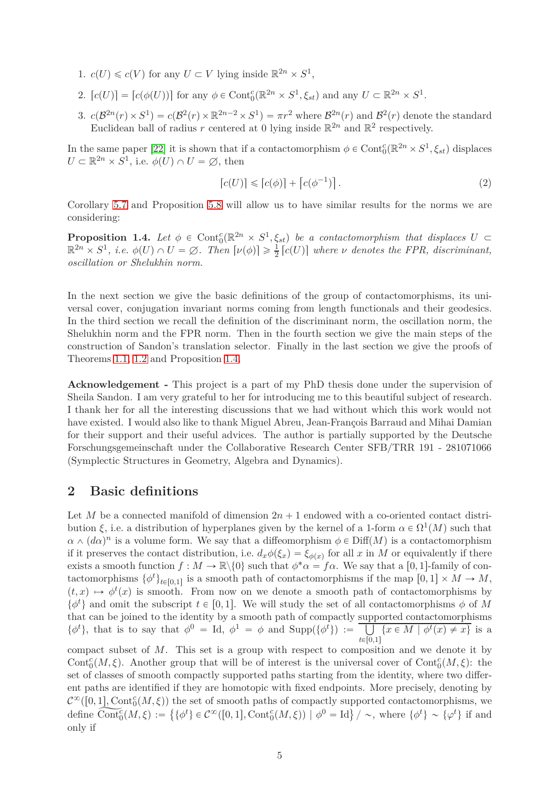- 1.  $c(U) \leq c(V)$  for any  $U \subset V$  lying inside  $\mathbb{R}^{2n} \times S^1$ ,
- 2.  $[c(U)] = [c(\phi(U))]$  for any  $\phi \in \text{Cont}_{0}^{c}(\mathbb{R}^{2n} \times S^{1}, \xi_{st})$  and any  $U \subset \mathbb{R}^{2n} \times S^{1}$ .
- 3.  $c(\mathcal{B}^{2n}(r) \times S^1) = c(\mathcal{B}^2(r) \times \mathbb{R}^{2n-2} \times S^1) = \pi r^2$  where  $\mathcal{B}^{2n}(r)$  and  $\mathcal{B}^2(r)$  denote the standard Euclidean ball of radius r centered at 0 lying inside  $\mathbb{R}^{2n}$  and  $\mathbb{R}^2$  respectively.

In the same paper [\[22\]](#page-26-11) it is shown that if a contactomorphism  $\phi \in \text{Cont}_{0}^{c}(\mathbb{R}^{2n} \times S^{1}, \xi_{st})$  displaces  $U \subset \mathbb{R}^{2n} \times S^1$ , i.e.  $\phi(U) \cap U = \emptyset$ , then

<span id="page-4-2"></span>
$$
[c(U)] \leqslant [c(\phi)] + [c(\phi^{-1})]. \tag{2}
$$

Corollary [5.7](#page-20-0) and Proposition [5.8](#page-21-0) will allow us to have similar results for the norms we are considering:

<span id="page-4-1"></span>**Proposition 1.4.** Let  $\phi \in \text{Cont}_{0}^{c}(\mathbb{R}^{2n} \times S^{1}, \xi_{st})$  be a contactomorphism that displaces  $U \subset$  $\mathbb{R}^{2n} \times S^1$ , *i.e.*  $\phi(U) \cap U = \emptyset$ . Then  $[\nu(\phi)] \ge \frac{1}{2}$  $\frac{1}{2}$   $[c(U)]$  where *v* denotes the FPR, discriminant, *oscillation or Shelukhin norm.*

In the next section we give the basic definitions of the group of contactomorphisms, its universal cover, conjugation invariant norms coming from length functionals and their geodesics. In the third section we recall the definition of the discriminant norm, the oscillation norm, the Shelukhin norm and the FPR norm. Then in the fourth section we give the main steps of the construction of Sandon's translation selector. Finally in the last section we give the proofs of Theorems [1.1,](#page-2-0) [1.2](#page-2-1) and Proposition [1.4.](#page-4-1)

**Acknowledgement -** This project is a part of my PhD thesis done under the supervision of Sheila Sandon. I am very grateful to her for introducing me to this beautiful subject of research. I thank her for all the interesting discussions that we had without which this work would not have existed. I would also like to thank Miguel Abreu, Jean-François Barraud and Mihai Damian for their support and their useful advices. The author is partially supported by the Deutsche Forschungsgemeinschaft under the Collaborative Research Center SFB/TRR 191 - 281071066 (Symplectic Structures in Geometry, Algebra and Dynamics).

# <span id="page-4-0"></span>**2 Basic definitions**

Let *M* be a connected manifold of dimension  $2n + 1$  endowed with a co-oriented contact distribution *ξ*, i.e. a distribution of hyperplanes given by the kernel of a 1-form  $\alpha \in \Omega^1(M)$  such that  $\alpha \wedge (d\alpha)^n$  is a volume form. We say that a diffeomorphism  $\phi \in \text{Diff}(M)$  is a contactomorphism if it preserves the contact distribution, i.e.  $d_x \phi(\xi_x) = \xi_{\phi(x)}$  for all *x* in *M* or equivalently if there exists a smooth function  $f : M \to \mathbb{R} \backslash \{0\}$  such that  $\phi^* \alpha = f \alpha$ . We say that a [0, 1]-family of contactomorphisms  $\{\phi^t\}_{t\in[0,1]}$  is a smooth path of contactomorphisms if the map  $[0,1] \times M \to M$ ,  $(t, x) \mapsto \phi^t(x)$  is smooth. From now on we denote a smooth path of contactomorphisms by  $\{\phi^t\}$  and omit the subscript  $t \in [0, 1]$ . We will study the set of all contactomorphisms  $\phi$  of M that can be joined to the identity by a smooth path of compactly supported contactomorphisms  $\{\phi^t\}$ , that is to say that  $\phi^0 = \text{Id}, \phi^1 = \phi$  and  $\text{Supp}(\{\phi^t\}) := \boxed{\bigcup_{k \in \mathcal{R}} \phi^k}$  $\bigcup_{t \in [0,1]} \{x \in M \mid \phi^t(x) \neq x\}$  is a

compact subset of *M*. This set is a group with respect to composition and we denote it by Cont<sup>*c*</sup>(*M, ξ*). Another group that will be of interest is the universal cover of Cont<sup>*c*</sup>(*M, ξ*): the set of classes of smooth compactly supported paths starting from the identity, where two different paths are identified if they are homotopic with fixed endpoints. More precisely, denoting by  $\mathcal{C}^{\infty}([0,1], \text{Cont}_{0}^{c}(M,\xi))$  the set of smooth paths of compactly supported contactomorphisms, we  $\det_{0} \widetilde{\mathrm{Cont}}_{0}^{\tilde{c}}(M,\xi) := \{ \{ \phi^{t} \} \in \mathcal{C}^{\infty}([0,1], \mathrm{Cont}_{0}^{c}(M,\xi)) \mid \phi^{0} = \mathrm{Id} \} / \sim, \text{ where } \{ \phi^{t} \} \sim \{ \varphi^{t} \}$  if and only if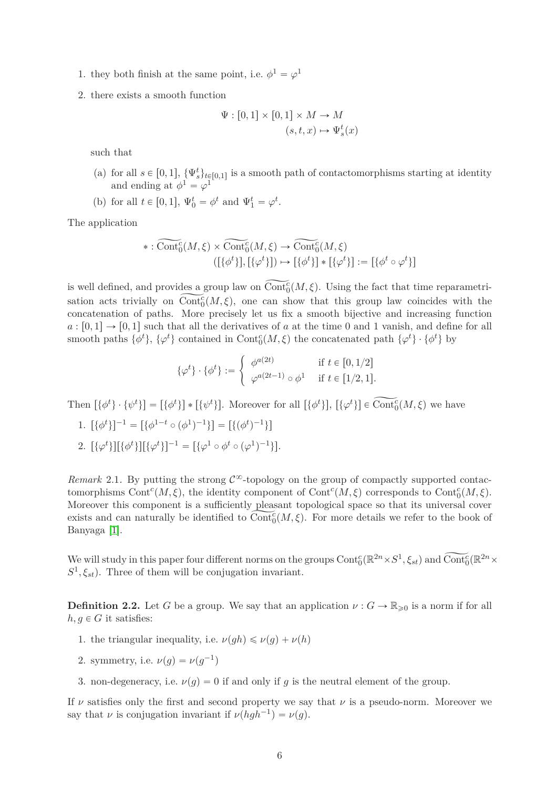- 1. they both finish at the same point, i.e.  $\phi^1 = \varphi^1$
- 2. there exists a smooth function

$$
\Psi : [0,1] \times [0,1] \times M \to M
$$

$$
(s,t,x) \mapsto \Psi_s^t(x)
$$

such that

- (a) for all  $s \in [0,1], \{\Psi_s^t\}_{t \in [0,1]}$  is a smooth path of contactomorphisms starting at identity and ending at  $\phi^1 = \varphi^1$
- (b) for all  $t \in [0, 1], \Psi_0^t = \phi^t$  and  $\Psi_1^t = \varphi^t$ .

The application

$$
*:\widetilde{\text{Cont}}_0^c(M,\xi) \times \widetilde{\text{Cont}}_0^c(M,\xi) \to \widetilde{\text{Cont}}_0^c(M,\xi)
$$
  

$$
([\{\phi^t\}], [\{\varphi^t\}]) \mapsto [\{\phi^t\}] * [\{\varphi^t\}] := [\{\phi^t \circ \varphi^t\}]
$$

is well defined, and provides a group law on  $\widetilde{\text{Cont}}_0^c(M, \xi)$ . Using the fact that time reparametrisation acts trivially on  $\widetilde{\text{Cont}}_0^c(M,\xi)$ , one can show that this group law coincides with the concatenation of paths. More precisely let us fix a smooth bijective and increasing function  $a: [0,1] \rightarrow [0,1]$  such that all the derivatives of *a* at the time 0 and 1 vanish, and define for all smooth paths  $\{\phi^t\}$ ,  $\{\varphi^t\}$  contained in Cont<sup>*c*</sup>( $M, \xi$ ) the concatenated path  $\{\varphi^t\} \cdot \{\phi^t\}$  by

$$
\{\varphi^t\} \cdot \{\phi^t\} := \begin{cases} \phi^{a(2t)} & \text{if } t \in [0, 1/2] \\ \varphi^{a(2t-1)} \circ \phi^1 & \text{if } t \in [1/2, 1]. \end{cases}
$$

Then  $[\{\phi^t\} \cdot {\psi^t\}] = [\{\phi^t\}] * [\{\psi^t\}]$ . Moreover for all  $[\{\phi^t\}]$ ,  $[\{\varphi^t\}] \in \text{Cont}^c_0(M, \xi)$  we have

- 1.  $[\{\phi^t\}]^{-1} = [\{\phi^{1-t} \circ (\phi^1)^{-1}\}] = [\{(\phi^t)^{-1}\}]$
- 2.  $[\{\varphi^t\}][\{\phi^t\}][\{\varphi^t\}]^{-1} = [\{\varphi^1 \circ \phi^t \circ (\varphi^1)^{-1}\}].$

*Remark* 2.1. By putting the strong  $\mathcal{C}^{\infty}$ -topology on the group of compactly supported contactomorphisms Cont<sup>c</sup>( $M, \xi$ ), the identity component of Cont<sup>c</sup>( $M, \xi$ ) corresponds to Cont<sup>c</sup><sub>0</sub>( $M, \xi$ ). Moreover this component is a sufficiently pleasant topological space so that its universal cover exists and can naturally be identified to  $\widetilde{\text{Cont}}_0^c(M,\xi)$ . For more details we refer to the book of Banyaga [\[1\]](#page-25-3).

We will study in this paper four different norms on the groups  $Cont_0^c(\mathbb{R}^{2n}\times S^1,\xi_{st})$  and  $\widetilde{Cont}_0^c(\mathbb{R}^{2n}\times S^1,\xi_{st})$  $S^1, \xi_{st}$ ). Three of them will be conjugation invariant.

**Definition 2.2.** Let *G* be a group. We say that an application  $\nu : G \to \mathbb{R}_{\geq 0}$  is a norm if for all  $h, g \in G$  it satisfies:

- 1. the triangular inequality, i.e.  $\nu(gh) \leq \nu(g) + \nu(h)$
- 2. symmetry, i.e.  $\nu(g) = \nu(g^{-1})$
- 3. non-degeneracy, i.e.  $\nu(g) = 0$  if and only if *g* is the neutral element of the group.

If  $\nu$  satisfies only the first and second property we say that  $\nu$  is a pseudo-norm. Moreover we say that *ν* is conjugation invariant if  $\nu(hgh^{-1}) = \nu(g)$ .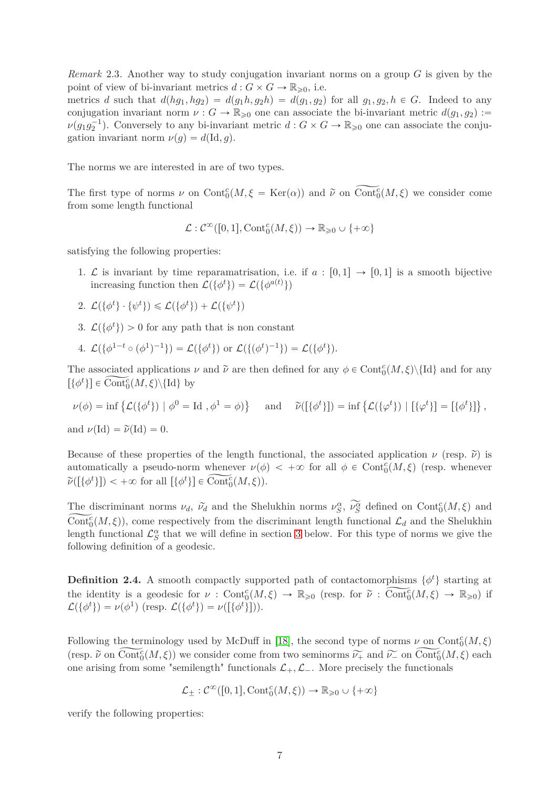*Remark* 2.3*.* Another way to study conjugation invariant norms on a group *G* is given by the point of view of bi-invariant metrics  $d: G \times G \to \mathbb{R}_{\geq 0}$ , i.e.

metrics *d* such that  $d(hg_1, hg_2) = d(g_1h, g_2h) = d(g_1, g_2)$  for all  $g_1, g_2, h \in G$ . Indeed to any conjugation invariant norm  $\nu : G \to \mathbb{R}_{\geq 0}$  one can associate the bi-invariant metric  $d(g_1, g_2) :=$  $\nu(g_1g_2^{-1})$ . Conversely to any bi-invariant metric  $d: G \times G \to \mathbb{R}_{\geqslant 0}$  one can associate the conjugation invariant norm  $\nu(g) = d(\mathrm{Id}, g)$ .

The norms we are interested in are of two types.

The first type of norms  $\nu$  on Cont<sub>o</sub> $(M, \xi = \text{Ker}(\alpha))$  and  $\tilde{\nu}$  on Cont<sub>o</sub> $(M, \xi)$  we consider come from some length functional

$$
\mathcal{L}: \mathcal{C}^{\infty}([0,1], \mathrm{Cont}^c_0(M, \xi)) \to \mathbb{R}_{\geq 0} \cup \{+\infty\}
$$

satisfying the following properties:

- 1.  $\mathcal L$  is invariant by time reparamatrisation, i.e. if  $a : [0,1] \to [0,1]$  is a smooth bijective increasing function then  $\mathcal{L}(\{\phi^t\}) = \mathcal{L}(\{\phi^{a(t)}\})$
- 2.  $\mathcal{L}(\{\phi^t\} \cdot \{\psi^t\}) \leq \mathcal{L}(\{\phi^t\}) + \mathcal{L}(\{\psi^t\})$
- 3.  $\mathcal{L}(\{\phi^t\}) > 0$  for any path that is non constant

4. 
$$
\mathcal{L}(\{\phi^{1-t} \circ (\phi^1)^{-1}\}) = \mathcal{L}(\{\phi^t\})
$$
 or  $\mathcal{L}(\{(\phi^t)^{-1}\}) = \mathcal{L}(\{\phi^t\}).$ 

The associated applications  $\nu$  and  $\tilde{\nu}$  are then defined for any  $\phi \in \text{Cont}_{0}^c(M, \xi) \setminus \{\text{Id}\}$  and for any  $[\{\phi^t\}] \in \widetilde{\text{Cont}_0}(M, \xi) \backslash {\text{Id}}\}$  by

$$
\nu(\phi) = \inf \left\{ \mathcal{L}(\{\phi^t\}) \mid \phi^0 = \text{Id}, \phi^1 = \phi \right\} \quad \text{and} \quad \widetilde{\nu}([\{\phi^t\}]) = \inf \left\{ \mathcal{L}(\{\phi^t\}) \mid [\{\phi^t\}] = [\{\phi^t\}]\right\},
$$

and  $\nu(\text{Id}) = \tilde{\nu}(\text{Id}) = 0.$ 

Because of these properties of the length functional, the associated application  $\nu$  (resp.  $\tilde{\nu}$ ) is automatically a pseudo-norm whenever  $\nu(\phi) < +\infty$  for all  $\phi \in \text{Cont}_{0}^{c}(M,\xi)$  (resp. whenever  $\widetilde{\nu}([\{\phi^t\}]) < +\infty$  for all  $[\{\phi^t\}] \in \widetilde{\text{Cont}}_0^c(M,\xi)).$ 

The discriminant norms  $\nu_d$ ,  $\tilde{\nu}_d$  and the Shelukhin norms  $\nu_S^{\alpha}$ ,  $\tilde{\nu}_S^{\alpha}$  defined on Cont<sub>*c*</sub> The discriminant norms  $\nu_d$ ,  $\tilde{\nu}_d$  and the Shelukhin norms  $\nu_S^{\alpha}$ ,  $\nu_S^{\alpha}$  defined on Cont<sub>0</sub> $(M, \xi)$  and  $\widetilde{\text{Cont}_0}(M, \xi)$ , come respectively from the discriminant length functional  $\mathcal{L}_d$  and the Shelukhin length functional  $\mathcal{L}_S^{\alpha}$  that we will define in section [3](#page-7-0) below. For this type of norms we give the following definition of a geodesic.

**Definition 2.4.** A smooth compactly supported path of contactomorphisms  $\{\phi^t\}$  starting at the identity is a geodesic for  $\nu : \text{Cont}^c_0(M, \xi) \to \mathbb{R}_{\geqslant 0}$  (resp. for  $\tilde{\nu} : \text{Cont}^c_0(M, \xi) \to \mathbb{R}_{\geqslant 0}$ ) if  $\mathcal{L}(\{\phi^t\}) = \nu(\phi^1) \text{ (resp. } \mathcal{L}(\{\phi^t\}) = \nu([\{\phi^t\}]).$ 

Following the terminology used by McDuff in [\[18\]](#page-26-12), the second type of norms  $\nu$  on  $\text{Cont}^c_0(M,\xi)$ (resp.  $\widetilde{\nu}$  on  $\widetilde{\text{Cont}}_0^c(M,\xi)$ ) we consider come from two seminorms  $\widetilde{\nu_+}$  and  $\widetilde{\nu_-}$  on  $\widetilde{\text{Cont}}_0^c(M,\xi)$  each one arising from some "semilength" functionals  $\mathcal{L}_+$ ,  $\mathcal{L}_-$ . More precisely the functionals

$$
\mathcal{L}_{\pm}: \mathcal{C}^{\infty}([0,1], \mathrm{Cont}^c_0(M, \xi)) \to \mathbb{R}_{\geqslant 0} \cup \{+\infty\}
$$

verify the following properties: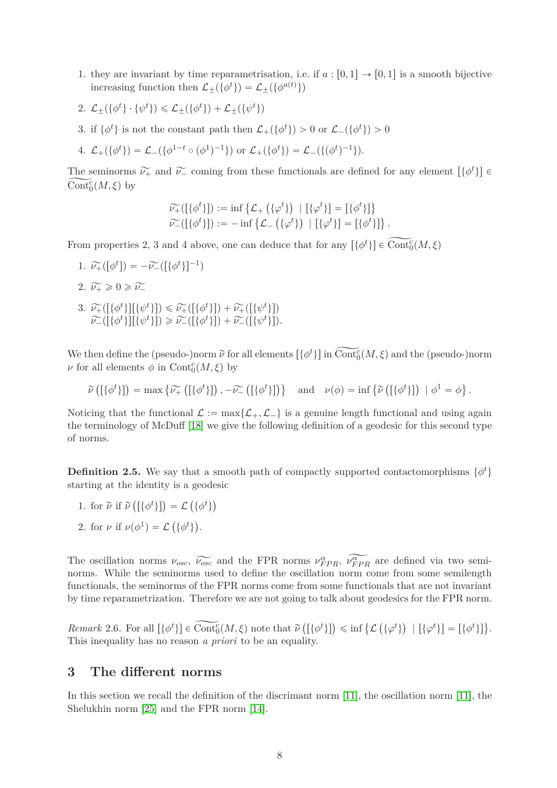- 1. they are invariant by time reparametrisation, i.e. if  $a : [0,1] \rightarrow [0,1]$  is a smooth bijective increasing function then  $\mathcal{L}_{\pm}(\{\phi^t\}) = \mathcal{L}_{\pm}(\{\phi^{a(t)}\})$
- 2.  $\mathcal{L}_{\pm}(\{\phi^t\} \cdot \{\psi^t\}) \leq \mathcal{L}_{\pm}(\{\phi^t\}) + \mathcal{L}_{\pm}(\{\psi^t\})$
- 3. if  $\{\phi^t\}$  is not the constant path then  $\mathcal{L}_+(\{\phi^t\}) > 0$  or  $\mathcal{L}_-(\{\phi^t\}) > 0$
- 4.  $\mathcal{L}_+(\{\phi^t\}) = \mathcal{L}_-(\{\phi^{1-t} \circ (\phi^1)^{-1}\})$  or  $\mathcal{L}_+(\{\phi^t\}) = \mathcal{L}_-(\{(\phi^t)^{-1}\}).$

The seminorms  $\widetilde{\nu_{+}}$  and  $\widetilde{\nu_{-}}$  coming from these functionals are defined for any element  $\left[\{\phi^t\}\right] \in \text{Cont}_{0}^{c}(M, \xi)$  by  $\widetilde{\text{Cont}^c_0}(M,\xi)$  by

$$
\widetilde{\nu}_{+}([\{\phi^{t}\}]):=\inf \{\mathcal{L}_{+}(\{\phi^{t}\}) \mid [\{\phi^{t}\}] = [\{\phi^{t}\}] \}
$$
  

$$
\widetilde{\nu}_{-}([\{\phi^{t}\}]):=-\inf \{\mathcal{L}_{-}(\{\phi^{t}\}) \mid [\{\phi^{t}\}] = [\{\phi^{t}\}] \}.
$$

From properties 2, 3 and 4 above, one can deduce that for any  $\left[\{\phi^t\}\right] \in \text{Cont}_{0}^{c}(M, \xi)$ 

- 1.  $\widetilde{\nu}_{+}([\phi^t]) = -\widetilde{\nu}_{-}([\{\phi^t\}]^{-1})$
- 2.  $\widetilde{\nu_{\pm}} \geqslant 0 \geqslant \widetilde{\nu_{\pm}}$
- 3.  $\widetilde{\nu}_{+}([\{\phi^t\}][\{\psi^t\}]) \leq \widetilde{\nu}_{+}([\{\phi^t\}]) + \widetilde{\nu}_{+}([\{\psi^t\}])$ <br>  $\approx \widetilde{\nu}_{+}([\{\psi^t\}])$  $\widetilde{\nu}_{-}([\{\phi^t\}]]\{\psi^t\}]) \geq \widetilde{\nu}_{-}([\{\phi^t\}]) + \widetilde{\nu}_{-}([\{\psi^t\}]).$

We then define the (pseudo-)norm  $\tilde{\nu}$  for all elements  $[\{\phi^t\}]$  in  $\tilde{\text{Cont}}_0^c(M,\xi)$  and the (pseudo-)norm  $\nu$  for all elements  $\phi$  in  $\text{Cont}^c_0(M,\xi)$  by

$$
\widetilde{\nu}\left(\left[\{\phi^t\}\right]\right) = \max\left\{\widetilde{\nu_{+}}\left(\left[\{\phi^t\}\right]\right), -\widetilde{\nu_{-}}\left(\left[\{\phi^t\}\right]\right)\right\} \quad \text{and} \quad \nu(\phi) = \inf\left\{\widetilde{\nu}\left(\left[\{\phi^t\}\right]\right) \mid \phi^1 = \phi\right\}.
$$

Noticing that the functional  $\mathcal{L} := \max\{\mathcal{L}_+, \mathcal{L}_-\}$  is a genuine length functional and using again the terminology of McDuff [\[18\]](#page-26-12) we give the following definition of a geodesic for this second type of norms.

**Definition 2.5.** We say that a smooth path of compactly supported contactomorphisms  $\{\phi^t\}$ starting at the identity is a geodesic

- 1. for  $\tilde{\nu}$  if  $\tilde{\nu}([\{\phi^t\}]) = \mathcal{L}(\{\phi^t\})$
- 2. for  $\nu$  if  $\nu(\phi^1) = \mathcal{L}(\{\phi^t\})$ .

The oscillation norms  $\nu_{osc}$ ,  $\widetilde{\nu_{osc}}$  and the FPR norms  $\nu_{FPR}^{\alpha}$ ,  $\nu_{FPR}^{\alpha}$  are defined via two seminorms. While the seminorms used to define the oscillation norm come from some semilength functionals, the seminorms of the FPR norms come from some functionals that are not invariant by time reparametrization. Therefore we are not going to talk about geodesics for the FPR norm.

 $Remark\ 2.6.$  For all  $[\{\phi^t\}] \in \widetilde{\text{Cont}^c_0(M, \xi)} \text{ note that } \widetilde{\nu}([\{\phi^t\}]) \leq \inf \{\mathcal{L}(\{\varphi^t\}) \mid [\{\varphi^t\}] = [\{\phi^t\}]\}.$ This inequality has no reason *a priori* to be an equality.

## <span id="page-7-0"></span>**3 The different norms**

In this section we recall the definition of the discrimant norm [\[11\]](#page-26-8), the oscillation norm [\[11\]](#page-26-8), the Shelukhin norm [\[25\]](#page-26-9) and the FPR norm [\[14\]](#page-26-6).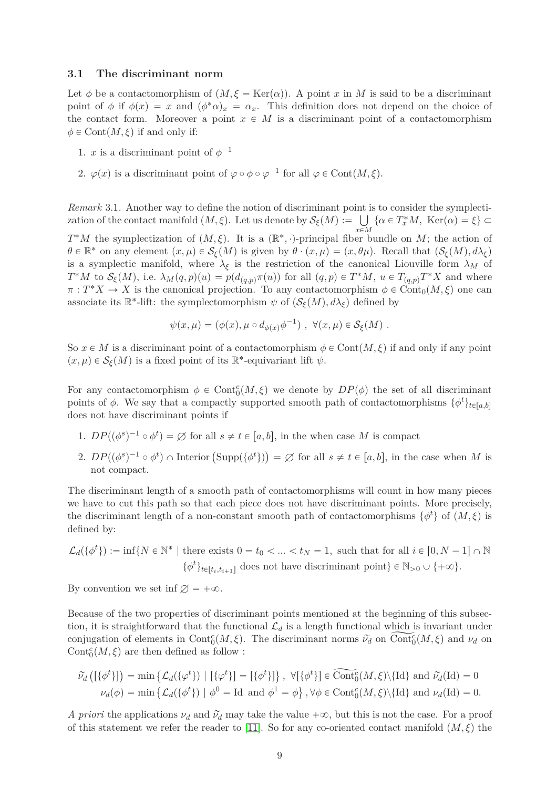#### **3.1 The discriminant norm**

Let  $\phi$  be a contactomorphism of  $(M, \xi = \text{Ker}(\alpha))$ . A point *x* in *M* is said to be a discriminant point of  $\phi$  if  $\phi(x) = x$  and  $(\phi^*\alpha)_x = \alpha_x$ . This definition does not depend on the choice of the contact form. Moreover a point  $x \in M$  is a discriminant point of a contactomorphism  $\phi \in \text{Cont}(M, \xi)$  if and only if:

- 1. *x* is a discriminant point of  $\phi^{-1}$
- 2.  $\varphi(x)$  is a discriminant point of  $\varphi \circ \phi \circ \varphi^{-1}$  for all  $\varphi \in \text{Cont}(M, \xi)$ .

*Remark* 3.1*.* Another way to define the notion of discriminant point is to consider the symplectization of the contact manifold  $(M, \xi)$ . Let us denote by  $\mathcal{S}_{\xi}(M) := \bigcup_{\xi \in \mathcal{S}_{\xi}}$  $\bigcup_{x \in M} {\alpha \in T_x^*M, \ \text{Ker}(\alpha) = \xi} \subset$ 

 $T^*M$  the symplectization of  $(M,\xi)$ . It is a  $(\mathbb{R}^*,\cdot)$ -principal fiber bundle on *M*; the action of  $\theta \in \mathbb{R}^*$  on any element  $(x, \mu) \in \mathcal{S}_{\xi}(M)$  is given by  $\theta \cdot (x, \mu) = (x, \theta\mu)$ . Recall that  $(\mathcal{S}_{\xi}(M), d\lambda_{\xi})$ is a symplectic manifold, where  $\lambda_{\xi}$  is the restriction of the canonical Liouville form  $\lambda_M$  of  $T^*M$  to  $\mathcal{S}_{\xi}(M)$ , i.e.  $\lambda_M(q,p)(u) = p(d_{(q,p)}\pi(u))$  for all  $(q,p) \in T^*M$ ,  $u \in T_{(q,p)}T^*X$  and where  $\pi: T^*X \to X$  is the canonical projection. To any contactomorphism  $\phi \in \text{Cont}_0(M, \xi)$  one can associate its  $\mathbb{R}^*$ -lift: the symplectomorphism  $\psi$  of  $(\mathcal{S}_\xi(M), d\lambda_\xi)$  defined by

$$
\psi(x,\mu) = (\phi(x), \mu \circ d_{\phi(x)}\phi^{-1}), \ \forall (x,\mu) \in \mathcal{S}_{\xi}(M) .
$$

So  $x \in M$  is a discriminant point of a contactomorphism  $\phi \in \text{Cont}(M, \xi)$  if and only if any point  $(x, \mu) \in \mathcal{S}_{\xi}(M)$  is a fixed point of its  $\mathbb{R}^*$ -equivariant lift  $\psi$ .

For any contactomorphism  $\phi \in \text{Cont}^c_0(M, \xi)$  we denote by  $DP(\phi)$  the set of all discriminant points of  $\phi$ . We say that a compactly supported smooth path of contactomorphisms  $\{\phi^t\}_{t\in [a,b]}$ does not have discriminant points if

- 1.  $DP((\phi^s)^{-1} \circ \phi^t) = \emptyset$  for all  $s \neq t \in [a, b]$ , in the when case *M* is compact
- 2.  $DP((\phi^s)^{-1} \circ \phi^t) \cap \text{Interior } (\text{Supp}(\{\phi^t\})) = \varnothing \text{ for all } s \neq t \in [a, b], \text{ in the case when } M \text{ is }$ not compact.

The discriminant length of a smooth path of contactomorphisms will count in how many pieces we have to cut this path so that each piece does not have discriminant points. More precisely, the discriminant length of a non-constant smooth path of contactomorphisms  $\{\phi^t\}$  of  $(M, \xi)$  is defined by:

$$
\mathcal{L}_d(\{\phi^t\}) := \inf\{N \in \mathbb{N}^* \mid \text{there exists } 0 = t_0 < \dots < t_N = 1, \text{ such that for all } i \in [0, N-1] \cap \mathbb{N} \}
$$

$$
\{\phi^t\}_{t \in [t_i, t_{i+1}]} \text{ does not have discriminant point}\} \in \mathbb{N}_{>0} \cup \{\pm \infty\}.
$$

By convention we set inf  $\varnothing = +\infty$ .

Because of the two properties of discriminant points mentioned at the beginning of this subsection, it is straightforward that the functional  $\mathcal{L}_d$  is a length functional which is invariant under conjugation of elements in Cont<sup>c</sup><sub>*C*</sub>(*M*,  $\xi$ ). The discriminant norms  $\tilde{\nu}_d$  on Cont<sub>0</sub><sup>c</sup>(*M*,  $\xi$ ) and  $\nu_d$  on  $\mathrm{Cont}^c_0(M,\xi)$  are then defined as follow :

$$
\widetilde{\nu}_d\left(\left[\{\phi^t\}\right]\right) = \min\left\{\mathcal{L}_d(\{\phi^t\}) \mid \left[\{\phi^t\}\right] = \left[\{\phi^t\}\right]\right\}, \ \forall \left[\{\phi^t\}\right] \in \widehat{\text{Cont}_0^c}(M, \xi) \setminus \{\text{Id}\} \text{ and } \widetilde{\nu}_d(\text{Id}) = 0
$$
\n
$$
\nu_d(\phi) = \min\left\{\mathcal{L}_d(\{\phi^t\}) \mid \phi^0 = \text{Id} \text{ and } \phi^1 = \phi\right\}, \forall \phi \in \text{Cont}_0^c(M, \xi) \setminus \{\text{Id}\} \text{ and } \nu_d(\text{Id}) = 0.
$$

*A priori* the applications  $\nu_d$  and  $\tilde{\nu}_d$  may take the value  $+\infty$ , but this is not the case. For a proof of this statement we refer the reader to [\[11\]](#page-26-8). So for any co-oriented contact manifold  $(M, \xi)$  the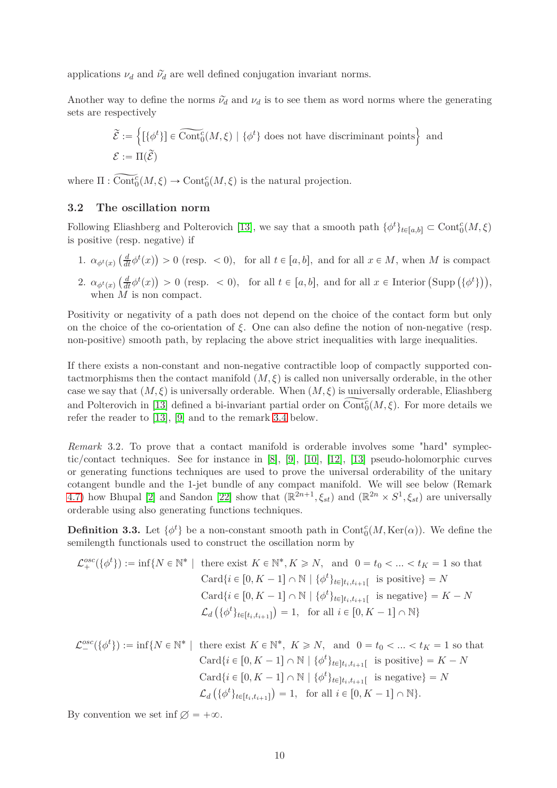applications  $\nu_d$  and  $\tilde{\nu}_d$  are well defined conjugation invariant norms.

Another way to define the norms  $\tilde{\nu}_d$  and  $\nu_d$  is to see them as word norms where the generating sets are respectively

$$
\widetilde{\mathcal{E}} := \left\{ [\{\phi^t\}] \in \widetilde{\text{Cont}_0^c}(M, \xi) \mid \{\phi^t\} \text{ does not have discriminant points} \right\} \text{ and}
$$

$$
\mathcal{E} := \Pi(\widetilde{\mathcal{E}})
$$

where  $\Pi : \widetilde{\text{Cont}}_0^c(M, \xi) \to \text{Cont}_0^c(M, \xi)$  is the natural projection.

### **3.2 The oscillation norm**

Following Eliashberg and Polterovich [\[13\]](#page-26-13), we say that a smooth path  $\{\phi^t\}_{t\in[a,b]} \subset \text{Cont}^c_0(M,\xi)$ is positive (resp. negative) if

- 1.  $\alpha_{\phi^t(x)}\left(\frac{d}{dt}\phi^t(x)\right) > 0$  (resp.  $\lt 0$ ), for all  $t \in [a, b]$ , and for all  $x \in M$ , when *M* is compact
- 2.  $\alpha_{\phi^t(x)}\left(\frac{d}{dt}\phi^t(x)\right) > 0$  (resp.  $\lt 0$ ), for all  $t \in [a, b]$ , and for all  $x \in$  Interior  $(\text{Supp } (\{\phi^t\})\right)$ , when *M* is non compact.

Positivity or negativity of a path does not depend on the choice of the contact form but only on the choice of the co-orientation of *ξ*. One can also define the notion of non-negative (resp. non-positive) smooth path, by replacing the above strict inequalities with large inequalities.

If there exists a non-constant and non-negative contractible loop of compactly supported contactmorphisms then the contact manifold  $(M, \xi)$  is called non universally orderable, in the other case we say that  $(M, \xi)$  is universally orderable. When  $(M, \xi)$  is universally orderable, Eliashberg and Polterovich in [\[13\]](#page-26-13) defined a bi-invariant partial order on  $\widetilde{\text{Cont}}_0^c(M,\xi)$ . For more details we refer the reader to [\[13\]](#page-26-13), [\[9\]](#page-26-14) and to the remark [3.4](#page-10-0) below.

*Remark* 3.2. To prove that a contact manifold is orderable involves some "hard" symplectic/contact techniques. See for instance in [\[8\]](#page-26-15), [\[9\]](#page-26-14), [\[10\]](#page-26-16), [\[12\]](#page-26-17), [\[13\]](#page-26-13) pseudo-holomorphic curves or generating functions techniques are used to prove the universal orderability of the unitary cotangent bundle and the 1-jet bundle of any compact manifold. We will see below (Remark [4.7\)](#page-15-0) how Bhupal [\[2\]](#page-25-4) and Sandon [\[22\]](#page-26-11) show that  $(\mathbb{R}^{2n+1}, \xi_{st})$  and  $(\mathbb{R}^{2n} \times S^1, \xi_{st})$  are universally orderable using also generating functions techniques.

**Definition 3.3.** Let  $\{\phi^t\}$  be a non-constant smooth path in  $Cont_0^c(M, Ker(\alpha))$ . We define the semilength functionals used to construct the oscillation norm by

$$
\mathcal{L}_{+}^{osc}(\{\phi^{t}\}): = \inf\{N \in \mathbb{N}^{*} \mid \text{ there exist } K \in \mathbb{N}^{*}, K \geq N, \text{ and } 0 = t_{0} < \ldots < t_{K} = 1 \text{ so that}
$$
\n
$$
\operatorname{Card}\{i \in [0, K - 1] \cap \mathbb{N} \mid \{\phi^{t}\}_{t \in ]t_{i}, t_{i+1}[} \text{ is positive}\} = N
$$
\n
$$
\operatorname{Card}\{i \in [0, K - 1] \cap \mathbb{N} \mid \{\phi^{t}\}_{t \in ]t_{i}, t_{i+1}[} \text{ is negative}\} = K - N
$$
\n
$$
\mathcal{L}_{d}\left(\{\phi^{t}\}_{t \in [t_{i}, t_{i+1}[}\right) = 1, \text{ for all } i \in [0, K - 1] \cap \mathbb{N}\right\}
$$

$$
\mathcal{L}^{osc}_{-}(\{\phi^{t}\}): = \inf\{N \in \mathbb{N}^{*} \mid \text{ there exist } K \in \mathbb{N}^{*}, K \geq N, \text{ and } 0 = t_{0} < \ldots < t_{K} = 1 \text{ so that}
$$
\n
$$
\operatorname{Card}\{i \in [0, K - 1] \cap \mathbb{N} \mid \{\phi^{t}\}_{t \in [t_{i}, t_{i+1}[} \text{ is positive}\} = K - N
$$
\n
$$
\operatorname{Card}\{i \in [0, K - 1] \cap \mathbb{N} \mid \{\phi^{t}\}_{t \in [t_{i}, t_{i+1}[} \text{ is negative}\} = N
$$
\n
$$
\mathcal{L}_{d}\left(\{\phi^{t}\}_{t \in [t_{i}, t_{i+1}[}\right) = 1, \text{ for all } i \in [0, K - 1] \cap \mathbb{N}\}.
$$

By convention we set inf  $\varnothing = +\infty$ .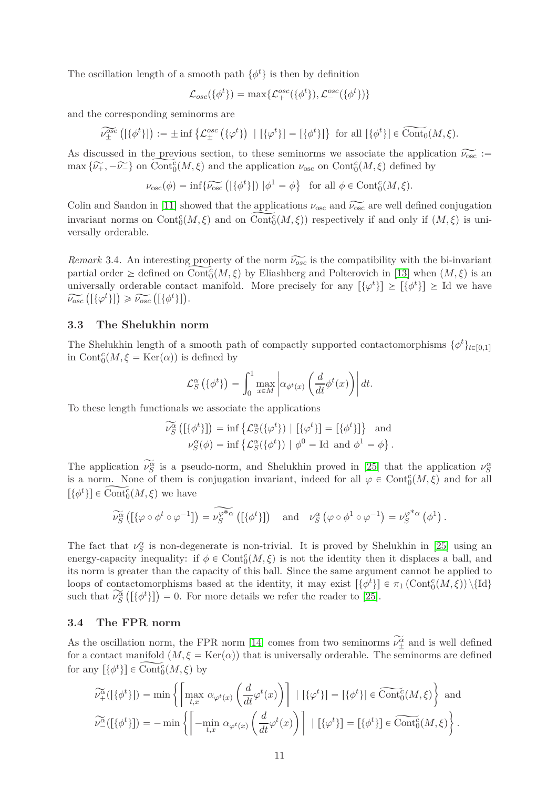The oscillation length of a smooth path  $\{\phi^t\}$  is then by definition

$$
\mathcal{L}_{osc}(\{\phi^t\}) = \max\{\mathcal{L}_+^{osc}(\{\phi^t\}), \mathcal{L}_-^{osc}(\{\phi^t\})\}\
$$

and the corresponding seminorms are

 $\widetilde{\mathcal{V}_{\pm}^{osc}}\left(\left[\{\phi^t\}\right]\right) := \pm \inf \left\{ \mathcal{L}_{\pm}^{osc}\left(\{\phi^t\}\right] - \left[\{\phi^t\}\right]\right\} \text{ for all } \left[\{\phi^t\}\right] \in \widetilde{\text{Cont}_0}(M, \xi).$ 

As discussed in the previous section, to these seminorms we associate the application  $\widetilde{\nu_{\infty}}$  :=  $\max{\{\widetilde{\nu_+}, -\widetilde{\nu_-}\}}$  on  $\widetilde{\text{Cont}}_0^c(M, \xi)$  and the application  $\nu_{\text{osc}}$  on  $\text{Cont}_0^c(M, \xi)$  defined by

$$
\nu_{\text{osc}}(\phi) = \inf \{ \widetilde{\nu_{\text{osc}}} \left( [\{\phi^t\}] \right) \, | \phi^1 = \phi \} \quad \text{for all } \phi \in \text{Cont}_0^c(M, \xi).
$$

Colin and Sandon in [\[11\]](#page-26-8) showed that the applications  $\nu_{\text{osc}}$  and  $\widetilde{\nu_{\text{osc}}}$  are well defined conjugation invariant norms on Cont<sup>c</sup><sub>0</sub> $(M, \xi)$  and on Cont<sup>c</sup><sub>0</sub> $(M, \xi)$  respectively if and only if  $(M, \xi)$  is universally orderable.

<span id="page-10-0"></span>*Remark* 3.4. An interesting property of the norm  $\widetilde{\nu_{osc}}$  is the compatibility with the bi-invariant partial order  $\geq$  defined on  $\widetilde{\text{Cont}^c_0(M,\xi)}$  by Eliashberg and Polterovich in [\[13\]](#page-26-13) when  $(M,\xi)$  is an universally orderable contact manifold. More precisely for any  $[\{\varphi^t\}] \geq [\{\phi^t\}] \geq \text{Id}$  we have  $\widetilde{\nu_{osc}}\left(\left[\{\varphi^t\}\right]\right) \geq \widetilde{\nu_{osc}}\left(\left[\{\phi^t\}\right]\right).$ 

#### **3.3 The Shelukhin norm**

The Shelukhin length of a smooth path of compactly supported contactomorphisms  $\{\phi^t\}_{t\in[0,1]}$ in  $Cont_0^c(M, \xi = \text{Ker}(\alpha))$  is defined by

$$
\mathcal{L}_S^{\alpha}\left(\{\phi^t\}\right) = \int_0^1 \max_{x \in M} \left| \alpha_{\phi^t(x)} \left(\frac{d}{dt} \phi^t(x)\right) \right| dt.
$$

To these length functionals we associate the applications

$$
\widetilde{\nu_S^{\alpha}}([\{\phi^t\}]) = \inf \{ \mathcal{L}_S^{\alpha}(\{\phi^t\}) \mid [\{\phi^t\}] = [\{\phi^t\}]\} \text{ and } \n\mathcal{\nu}_S^{\alpha}(\phi) = \inf \{ \mathcal{L}_S^{\alpha}(\{\phi^t\}) \mid \phi^0 = \text{Id} \text{ and } \phi^1 = \phi \}.
$$

The application  $\nu_S^{\alpha}$  is a pseudo-norm, and Shelukhin proved in [\[25\]](#page-26-9) that the application  $\nu_S^{\alpha}$ is a norm. None of them is conjugation invariant, indeed for all  $\varphi \in \text{Cont}^c_0(M, \xi)$  and for all  $[\{\phi^t\}] \in \widetilde{\text{Cont}^c_0}(M, \xi)$  we have

$$
\widetilde{\nu_S^{\alpha}}\left(\left[\{\varphi \circ \phi^t \circ \varphi^{-1}\right]\right) = \widetilde{\nu_S^{\varphi^* \alpha}}\left(\left[\{\phi^t\}\right]\right) \quad \text{and} \quad \nu_S^{\alpha}\left(\varphi \circ \phi^1 \circ \varphi^{-1}\right) = \nu_S^{\varphi^* \alpha}\left(\phi^1\right).
$$

The fact that  $\nu_S^{\alpha}$  is non-degenerate is non-trivial. It is proved by Shelukhin in [\[25\]](#page-26-9) using an energy-capacity inequality: if  $\phi \in \text{Cont}^c_0(M, \xi)$  is not the identity then it displaces a ball, and its norm is greater than the capacity of this ball. Since the same argument cannot be applied to loops of contactomorphisms based at the identity, it may exist  $\{\phi^t\}$   $\in \pi_1(\text{Cont}^c_0(M,\xi)) \setminus \{\text{Id}\}\$ such that  $\widetilde{\nu_S^{\alpha}}([\{\phi^t\}]) = 0$ . For more details we refer the reader to [\[25\]](#page-26-9).

### **3.4 The FPR norm**

As the oscillation norm, the FPR norm [\[14\]](#page-26-6) comes from two seminorms  $\nu_{\pm}^{\alpha}$  and is well defined for a contact manifold  $(M, \xi = \text{Ker}(\alpha))$  that is universally orderable. The seminorms are defined for any  $\left[\{\phi^t\}\right] \in \widetilde{\text{Cont}_0^c}(M, \xi)$  by

$$
\widetilde{\nu^{\alpha}_{+}}([\{\phi^{t}\}]) = \min \left\{ \left[ \max_{t,x} \alpha_{\varphi^{t}(x)} \left( \frac{d}{dt} \varphi^{t}(x) \right) \right] \mid [\{\varphi^{t}\}] = [\{\phi^{t}\}] \in \widetilde{\text{Cont}}_{0}^{c}(M,\xi) \right\} \text{ and}
$$

$$
\widetilde{\nu^{\alpha}_{-}}([\{\phi^{t}\}]) = -\min \left\{ \left[ -\min_{t,x} \alpha_{\varphi^{t}(x)} \left( \frac{d}{dt} \varphi^{t}(x) \right) \right] \mid [\{\varphi^{t}\}] = [\{\phi^{t}\}] \in \widetilde{\text{Cont}}_{0}^{c}(M,\xi) \right\}.
$$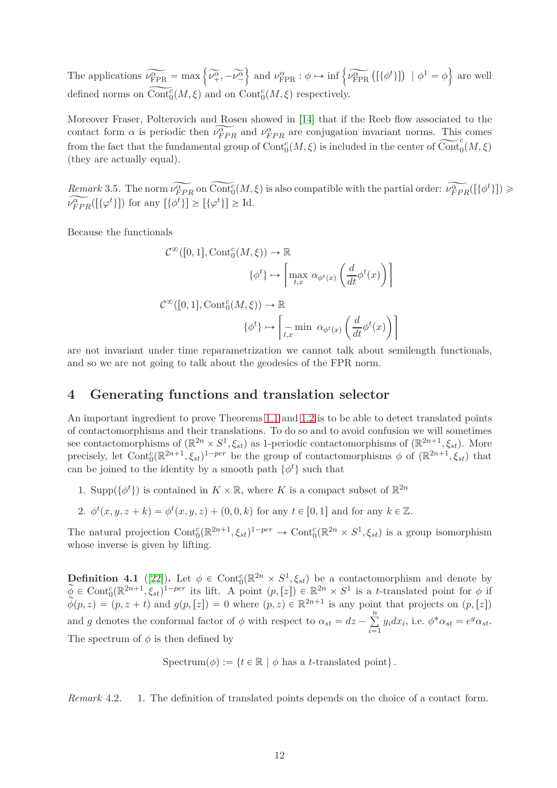The applications  $\widetilde{\nu_{\text{FPR}}^{\alpha}} = \max \left\{ \widetilde{\nu_{+}^{\alpha}}, -\widetilde{\nu_{-}^{\alpha}} \right\}$  $\left\{\text{ and } \nu_{\text{FPR}}^{\alpha} : \phi \mapsto \inf \left\{\widetilde{\nu_{\text{FPR}}^{\alpha}} \left( \left[\{\phi^t\} \right] \right) \, \mid \phi^1 = \phi \right\} \text{ are well} \right\}$ defined norms on  $\widetilde{\text{Cont}}_0^c(M,\xi)$  and on  $\text{Cont}_0^c(M,\xi)$  respectively.

Moreover Fraser, Polterovich and Rosen showed in [\[14\]](#page-26-6) that if the Reeb flow associated to the contact form  $\alpha$  is periodic then  $\nu_{FPR}^{\alpha}$  and  $\nu_{FPR}^{\alpha}$  are conjugation invariant norms. This comes from the fact that the fundamental group of  $Cont_0^c(M, \xi)$  is included in the center of  $\widetilde{Cont}_0^c(M, \xi)$ (they are actually equal).

 $Remark 3.5$ . The norm  $\widetilde{\nu_{FPR}^{\alpha}}$  on  $\widetilde{\text{Cont}}_0^c(M,\xi)$  is also compatible with the partial order:  $\widetilde{\nu_{FPR}^{\alpha}}([\{\phi^t\}]) \geq$  $\widetilde{\nu_{FPR}^{\alpha}([\{\varphi^t\}])}$  for any  $[\{\phi^t\}] \geq [\{\varphi^t\}] \geq \text{Id}.$ 

Because the functionals

$$
\mathcal{C}^{\infty}([0,1], \text{Cont}_{0}^{c}(M, \xi)) \to \mathbb{R}
$$

$$
\{\phi^{t}\} \mapsto \left[\max_{t,x} \alpha_{\phi^{t}(x)} \left(\frac{d}{dt} \phi^{t}(x)\right)\right]
$$

$$
\mathcal{C}^{\infty}([0,1], \text{Cont}_{0}^{c}(M, \xi)) \to \mathbb{R}
$$

$$
\{\phi^{t}\} \mapsto \left[\min_{t,x} \alpha_{\phi^{t}(x)} \left(\frac{d}{dt} \phi^{t}(x)\right)\right]
$$

are not invariant under time reparametrization we cannot talk about semilength functionals, and so we are not going to talk about the geodesics of the FPR norm.

# <span id="page-11-0"></span>**4 Generating functions and translation selector**

An important ingredient to prove Theorems [1.1](#page-2-0) and [1.2](#page-2-1) is to be able to detect translated points of contactomorphisms and their translations. To do so and to avoid confusion we will sometimes see contactomorphisms of  $(\mathbb{R}^{2n} \times S^1, \xi_{st})$  as 1-periodic contactomorphisms of  $(\mathbb{R}^{2n+1}, \xi_{st})$ . More precisely, let Cont<sup>c</sup><sub>0</sub>( $\mathbb{R}^{2n+1}$ ,  $\xi_{st}$ )<sup>1-per</sup> be the group of contactomorphisms  $\phi$  of ( $\mathbb{R}^{2n+1}$ ,  $\xi_{st}$ ) that can be joined to the identity by a smooth path  $\{\phi^t\}$  such that

1. Supp $(\{\phi^t\})$  is contained in  $K \times \mathbb{R}$ , where *K* is a compact subset of  $\mathbb{R}^{2n}$ 

2. 
$$
\phi^t(x, y, z + k) = \phi^t(x, y, z) + (0, 0, k)
$$
 for any  $t \in [0, 1]$  and for any  $k \in \mathbb{Z}$ .

The natural projection  $\text{Cont}^c_0(\mathbb{R}^{2n+1}, \xi_{st})^{1-per} \to \text{Cont}^c_0(\mathbb{R}^{2n} \times S^1, \xi_{st})$  is a group isomorphism whose inverse is given by lifting.

**Definition 4.1** ([\[22\]](#page-26-11)). Let  $\phi \in \text{Cont}_{0}^{c}(\mathbb{R}^{2n} \times S^{1}, \xi_{st})$  be a contactomorphism and denote by  $\widetilde{\phi} \in \text{Cont}^c_0(\mathbb{R}^{2n+1}, \xi_{st})^{1-per}$  its lift. A point  $(p, [z]) \in \mathbb{R}^{2n} \times S^1$  is a *t*-translated point for  $\phi$  if  $\widetilde{\phi}(p, z) = (p, z + t)$  and  $g(p, [z]) = 0$  where  $(p, z) \in \mathbb{R}^{2n+1}$  is any point that projects on  $(p, [z])$ and *g* denotes the conformal factor of  $\phi$  with respect to  $\alpha_{st} = dz - \sum_{i=1}^{n}$  $i = 1$  $y_i dx_i$ , i.e.  $\phi^* \alpha_{st} = e^g \alpha_{st}$ . The spectrum of  $\phi$  is then defined by

 $Spectrum(\phi) := \{ t \in \mathbb{R} \mid \phi \text{ has a } t\text{-translated point } \}.$ 

*Remark* 4.2*.* 1. The definition of translated points depends on the choice of a contact form.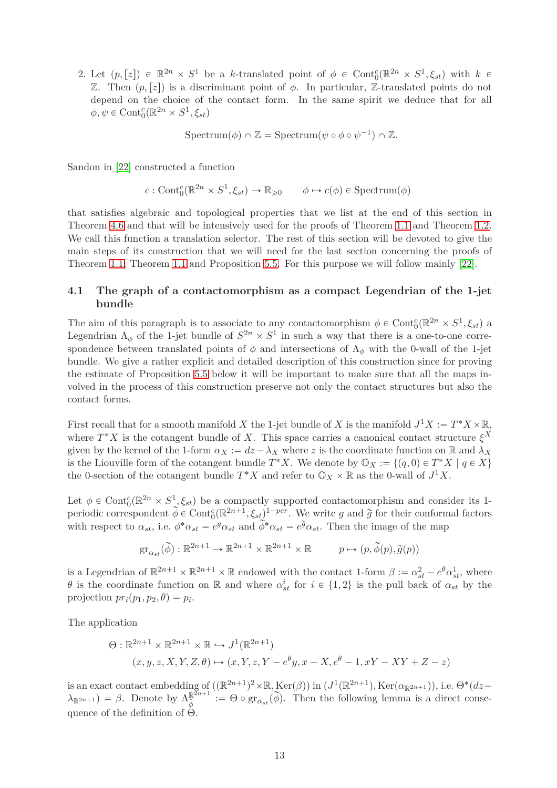2. Let  $(p,[z]) \in \mathbb{R}^{2n} \times S^1$  be a *k*-translated point of  $\phi \in \text{Cont}_{0}^{c}(\mathbb{R}^{2n} \times S^1, \xi_{st})$  with  $k \in$ Z. Then  $(p, z)$  is a discriminant point of *φ*. In particular, Z-translated points do not depend on the choice of the contact form. In the same spirit we deduce that for all  $\phi, \psi \in \text{Cont}^c_0(\mathbb{R}^{2n} \times S^1, \xi_{st})$ 

 $Spectrum(\phi) \cap \mathbb{Z} = Spectrum(\psi \circ \phi \circ \psi^{-1}) \cap \mathbb{Z}$ *.* 

Sandon in [\[22\]](#page-26-11) constructed a function

$$
c: \text{Cont}_{0}^{c}(\mathbb{R}^{2n} \times S^{1}, \xi_{st}) \to \mathbb{R}_{\geq 0} \qquad \phi \mapsto c(\phi) \in \text{Spectrum}(\phi)
$$

that satisfies algebraic and topological properties that we list at the end of this section in Theorem [4.6](#page-15-1) and that will be intensively used for the proofs of Theorem [1.1](#page-2-0) and Theorem [1.2.](#page-2-1) We call this function a translation selector. The rest of this section will be devoted to give the main steps of its construction that we will need for the last section concerning the proofs of Theorem [1.1,](#page-2-0) Theorem [1.1](#page-2-0) and Proposition [5.5.](#page-19-0) For this purpose we will follow mainly [\[22\]](#page-26-11).

## <span id="page-12-0"></span>**4.1 The graph of a contactomorphism as a compact Legendrian of the 1-jet bundle**

The aim of this paragraph is to associate to any contactomorphism  $\phi \in \text{Cont}_{0}^{c}(\mathbb{R}^{2n} \times S^{1}, \xi_{st})$  a Legendrian  $\Lambda_{\phi}$  of the 1-jet bundle of  $S^{2n} \times S^1$  in such a way that there is a one-to-one correspondence between translated points of  $\phi$  and intersections of  $\Lambda_{\phi}$  with the 0-wall of the 1-jet bundle. We give a rather explicit and detailed description of this construction since for proving the estimate of Proposition [5.5](#page-19-0) below it will be important to make sure that all the maps involved in the process of this construction preserve not only the contact structures but also the contact forms.

First recall that for a smooth manifold *X* the 1-jet bundle of *X* is the manifold  $J^1X := T^*X \times \mathbb{R}$ , where  $T^*X$  is the cotangent bundle of X. This space carries a canonical contact structure  $\xi^X$ given by the kernel of the 1-form  $\alpha_X := dz - \lambda_X$  where *z* is the coordinate function on R and  $\lambda_X$ is the Liouville form of the cotangent bundle  $T^*X$ . We denote by  $\mathbb{O}_X := \{(q, 0) \in T^*X \mid q \in X\}$ the 0-section of the cotangent bundle  $T^*X$  and refer to  $\mathbb{O}_X \times \mathbb{R}$  as the 0-wall of  $J^1X$ .

Let  $\phi \in \text{Cont}_{0}^{c}(\mathbb{R}^{2n} \times S^{1}, \xi_{st})$  be a compactly supported contactomorphism and consider its 1periodic correspondent  $\widetilde{\phi} \in \text{Cont}_{0}^{c}(\mathbb{R}^{2n+1}, \xi_{st})^{1-per}$ . We write *g* and  $\widetilde{g}$  for their conformal factors with respect to  $\alpha_{st}$ , i.e.  $\phi^* \alpha_{st} = e^g \alpha_{st}$  and  $\tilde{\phi}^* \alpha_{st} = e^{\tilde{g}} \alpha_{st}$ . Then the image of the map

$$
\mathrm{gr}_{\alpha_{st}}(\widetilde{\phi}) : \mathbb{R}^{2n+1} \to \mathbb{R}^{2n+1} \times \mathbb{R}^{2n+1} \times \mathbb{R} \qquad p \mapsto (p, \widetilde{\phi}(p), \widetilde{g}(p))
$$

is a Legendrian of  $\mathbb{R}^{2n+1} \times \mathbb{R}^{2n+1} \times \mathbb{R}$  endowed with the contact 1-form  $\beta := \alpha_{st}^2 - e^{\theta} \alpha_{st}^1$ , where *θ* is the coordinate function on R and where  $\alpha_{st}^i$  for  $i \in \{1,2\}$  is the pull back of  $\alpha_{st}$  by the  $projection pr_i(p_1, p_2, \theta) = p_i.$ 

The application

$$
\Theta: \mathbb{R}^{2n+1} \times \mathbb{R}^{2n+1} \times \mathbb{R} \hookrightarrow J^1(\mathbb{R}^{2n+1})
$$
  

$$
(x, y, z, X, Y, Z, \theta) \mapsto (x, Y, z, Y - e^{\theta}y, x - X, e^{\theta} - 1, xY - XY + Z - z)
$$

is an exact contact embedding of  $((\mathbb{R}^{2n+1})^2 \times \mathbb{R}, \text{Ker}(\beta))$  in  $(J^1(\mathbb{R}^{2n+1}), \text{Ker}(\alpha_{\mathbb{R}^{2n+1}})),$  i.e.  $\Theta^*(dz \lambda_{\mathbb{R}^{2n+1}} = \beta$ . Denote by  $\Lambda_{\phi}^{\mathbb{R}^{2n+1}} := \Theta \circ \text{gr}_{\alpha_{st}}(\widetilde{\phi})$ . Then the following lemma is a direct consequence of the definition of  $\Theta$ .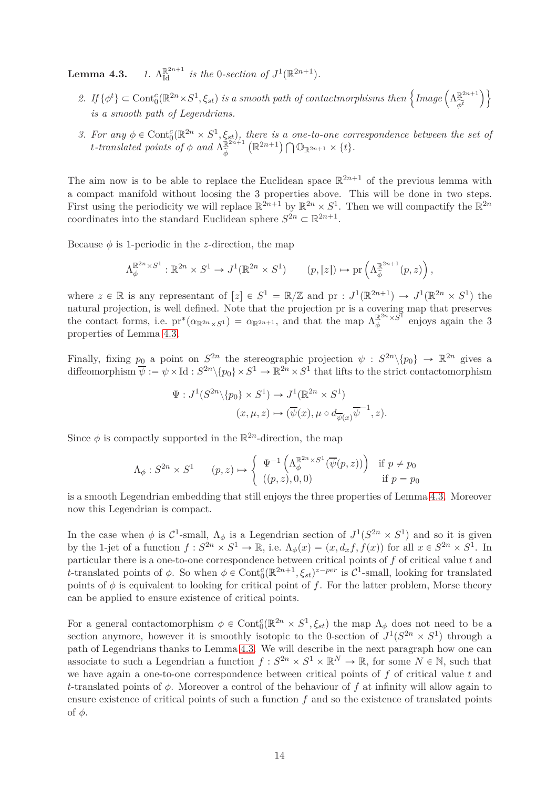**Lemma 4.3.**  $\mathbb{R}^{2n+1}$  *is the* 0-section of  $J^1(\mathbb{R}^{2n+1})$ .

- $2.$  If  $\{\phi^t\} \subset \text{Cont}_{0}^{c}(\mathbb{R}^{2n} \times S^1, \xi_{st})$  is a smooth path of contactmorphisms then  $\left\{\text{Image}\left(\Lambda_{\widetilde{\phi}^t}^{\mathbb{R}^{2n+1}}\right)\right\}$  $\phi^t$  $\setminus$ *is a smooth path of Legendrians.*
- *3. For any*  $\phi \in \text{Cont}^c_0(\mathbb{R}^{2n} \times S^1, \xi_{st})$ , there is a one-to-one correspondence between the set of *t*-translated points of  $\phi$  and  $\Lambda_{\mathbb{Z}}^{\mathbb{R}^{2n+1}}$ *φ*  $\left( \mathbb{R}^{2n+1} \right) \bigcap \mathbb{O}_{\mathbb{R}^{2n+1}} \times \{t\}.$

The aim now is to be able to replace the Euclidean space  $\mathbb{R}^{2n+1}$  of the previous lemma with a compact manifold without loosing the 3 properties above. This will be done in two steps. First using the periodicity we will replace  $\mathbb{R}^{2n+1}$  by  $\mathbb{R}^{2n} \times S^1$ . Then we will compactify the  $\mathbb{R}^{2n}$ coordinates into the standard Euclidean sphere  $S^{2n} \subset \mathbb{R}^{2n+1}$ .

Because  $\phi$  is 1-periodic in the *z*-direction, the map

$$
\Lambda_{\phi}^{\mathbb{R}^{2n} \times S^1} : \mathbb{R}^{2n} \times S^1 \to J^1(\mathbb{R}^{2n} \times S^1) \qquad (p,[z]) \mapsto \mathrm{pr}\left(\Lambda_{\widetilde{\phi}}^{\mathbb{R}^{2n+1}}(p,z)\right),
$$

where  $z \in \mathbb{R}$  is any representant of  $[z] \in S^1 = \mathbb{R}/\mathbb{Z}$  and  $\text{pr} : J^1(\mathbb{R}^{2n+1}) \to J^1(\mathbb{R}^{2n} \times S^1)$  the natural projection, is well defined. Note that the projection pr is a covering map that preserves the contact forms, i.e.  $pr^*(\alpha_{\mathbb{R}^{2n} \times S^1}) = \alpha_{\mathbb{R}^{2n+1}}$ , and that the map  $\Lambda_{\phi}^{\mathbb{R}^{2n} \times S^1}$  $\phi^{\mathbb{R}^{2n}\times S^{1}}$  enjoys again the 3 properties of Lemma 4.3.

Finally, fixing  $p_0$  a point on  $S^{2n}$  the stereographic projection  $\psi : S^{2n} \setminus \{p_0\} \to \mathbb{R}^{2n}$  gives a diffeomorphism  $\overline{\psi} := \psi \times \text{Id} : S^{2n} \setminus \{p_0\} \times S^1 \to \mathbb{R}^{2n} \times S^1$  that lifts to the strict contactomorphism

$$
\Psi: J^1(S^{2n}\backslash\{p_0\}\times S^1)\to J^1(\mathbb{R}^{2n}\times S^1)
$$

$$
(x,\mu,z)\mapsto(\overline{\psi}(x),\mu\circ d_{\overline{\psi}(x)}\overline{\psi}^{-1},z).
$$

Since  $\phi$  is compactly supported in the  $\mathbb{R}^{2n}$ -direction, the map

$$
\Lambda_{\phi}: S^{2n} \times S^1 \qquad (p, z) \mapsto \begin{cases} \Psi^{-1}\left(\Lambda_{\phi}^{\mathbb{R}^{2n} \times S^1}(\overline{\psi}(p, z))\right) & \text{if } p \neq p_0 \\ ((p, z), 0, 0) & \text{if } p = p_0 \end{cases}
$$

is a smooth Legendrian embedding that still enjoys the three properties of Lemma 4.3. Moreover now this Legendrian is compact.

In the case when  $\phi$  is  $C^1$ -small,  $\Lambda_{\phi}$  is a Legendrian section of  $J^1(S^{2n} \times S^1)$  and so it is given by the 1-jet of a function  $f: S^{2n} \times S^1 \to \mathbb{R}$ , i.e.  $\Lambda_{\phi}(x) = (x, d_x f, f(x))$  for all  $x \in S^{2n} \times S^1$ . In particular there is a one-to-one correspondence between critical points of *f* of critical value *t* and *t*-translated points of  $\phi$ . So when  $\phi \in \text{Cont}_{0}^{c}(\mathbb{R}^{2n+1}, \xi_{st})^{z-per}$  is  $C^{1}$ -small, looking for translated points of  $\phi$  is equivalent to looking for critical point of f. For the latter problem, Morse theory can be applied to ensure existence of critical points.

For a general contactomorphism  $\phi \in \text{Cont}_{0}^{c}(\mathbb{R}^{2n} \times S^{1}, \xi_{st})$  the map  $\Lambda_{\phi}$  does not need to be a section anymore, however it is smoothly isotopic to the 0-section of  $J^1(S^{2n} \times S^1)$  through a path of Legendrians thanks to Lemma 4.3. We will describe in the next paragraph how one can associate to such a Legendrian a function  $f: S^{2n} \times S^1 \times \mathbb{R}^N \to \mathbb{R}$ , for some  $N \in \mathbb{N}$ , such that we have again a one-to-one correspondence between critical points of *f* of critical value *t* and *t*-translated points of *φ*. Moreover a control of the behaviour of *f* at infinity will allow again to ensure existence of critical points of such a function *f* and so the existence of translated points of *φ*.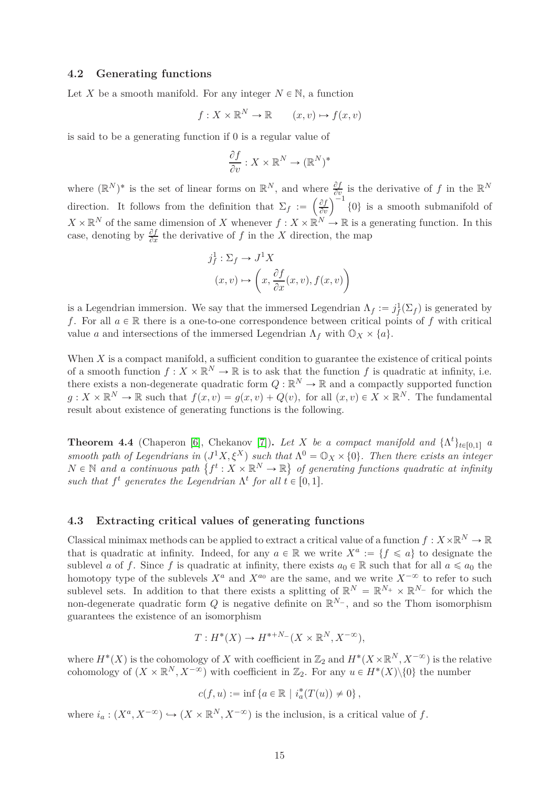#### <span id="page-14-1"></span>**4.2 Generating functions**

Let X be a smooth manifold. For any integer  $N \in \mathbb{N}$ , a function

$$
f: X \times \mathbb{R}^N \to \mathbb{R} \qquad (x, v) \mapsto f(x, v)
$$

is said to be a generating function if 0 is a regular value of

$$
\frac{\partial f}{\partial v} : X \times \mathbb{R}^N \to (\mathbb{R}^N)^*
$$

where  $(\mathbb{R}^N)^*$  is the set of linear forms on  $\mathbb{R}^N$ , and where  $\frac{\partial f}{\partial v_i}$  is the derivative of *f* in the  $\mathbb{R}^N$ direction. It follows from the definition that  $\Sigma_f := \left(\frac{\partial f}{\partial v}\right)$  $\partial v$  $\int^{-1}$  {0} is a smooth submanifold of  $X \times \mathbb{R}^N$  of the same dimension of *X* whenever  $f: X \times \mathbb{R}^N \to \mathbb{R}$  is a generating function. In this case, denoting by  $\frac{\partial f}{\partial x}$  the derivative of *f* in the *X* direction, the map

$$
j_f^1 : \Sigma_f \to J^1 X
$$

$$
(x, v) \mapsto \left(x, \frac{\partial f}{\partial x}(x, v), f(x, v)\right)
$$

is a Legendrian immersion. We say that the immersed Legendrian  $\Lambda_f := j_f^1(\Sigma_f)$  is generated by *f*. For all  $a \in \mathbb{R}$  there is a one-to-one correspondence between critical points of *f* with critical value *a* and intersections of the immersed Legendrian  $\Lambda_f$  with  $\mathbb{O}_X \times \{a\}$ .

When *X* is a compact manifold, a sufficient condition to guarantee the existence of critical points of a smooth function  $f: X \times \mathbb{R}^N \to \mathbb{R}$  is to ask that the function  $f$  is quadratic at infinity, i.e. there exists a non-degenerate quadratic form  $Q : \mathbb{R}^N \to \mathbb{R}$  and a compactly supported function  $g: X \times \mathbb{R}^N \to \mathbb{R}$  such that  $f(x, v) = g(x, v) + Q(v)$ , for all  $(x, v) \in X \times \mathbb{R}^N$ . The fundamental result about existence of generating functions is the following.

<span id="page-14-0"></span>**Theorem 4.4** (Chaperon [\[6\]](#page-25-5), Chekanov [\[7\]](#page-25-6)). Let X be a compact manifold and  $\{\Lambda^t\}_{t\in[0,1]}$  a *smooth path of Legendrians in*  $(J^1X, \xi^X)$  *such that*  $\Lambda^0 = \mathbb{O}_X \times \{0\}$ *. Then there exists an integer*  $N \in \mathbb{N}$  and a continuous path  $\{f^t: X \times \mathbb{R}^N \to \mathbb{R}\}$  of generating functions quadratic at infinity *such that*  $f^t$  generates the Legendrian  $\Lambda^t$  for all  $t \in [0, 1]$ .

### **4.3 Extracting critical values of generating functions**

Classical minimax methods can be applied to extract a critical value of a function  $f: X \times \mathbb{R}^N \to \mathbb{R}$ that is quadratic at infinity. Indeed, for any  $a \in \mathbb{R}$  we write  $X^a := \{f \leq a\}$  to designate the sublevel *a* of *f*. Since *f* is quadratic at infinity, there exists  $a_0 \in \mathbb{R}$  such that for all  $a \leq a_0$  the homotopy type of the sublevels  $X^a$  and  $X^{a_0}$  are the same, and we write  $X^{-\infty}$  to refer to such sublevel sets. In addition to that there exists a splitting of  $\mathbb{R}^N = \mathbb{R}^{N_+} \times \mathbb{R}^{N_-}$  for which the non-degenerate quadratic form  $Q$  is negative definite on  $\mathbb{R}^{N_-}$ , and so the Thom isomorphism guarantees the existence of an isomorphism

$$
T: H^*(X) \to H^{*+N-}(X \times \mathbb{R}^N, X^{-\infty}),
$$

where  $H^*(X)$  is the cohomology of *X* with coefficient in  $\mathbb{Z}_2$  and  $H^*(X\times\mathbb{R}^N, X^{-\infty})$  is the relative cohomology of  $(X \times \mathbb{R}^N, X^{-\infty})$  with coefficient in  $\mathbb{Z}_2$ . For any  $u \in H^*(X) \setminus \{0\}$  the number

$$
c(f,u):=\inf\left\{a\in\mathbb{R}\,\,|\,\,i_a^*(T(u))\neq 0\right\},
$$

where  $i_a: (X^a, X^{-\infty}) \hookrightarrow (X \times \mathbb{R}^N, X^{-\infty})$  is the inclusion, is a critical value of *f*.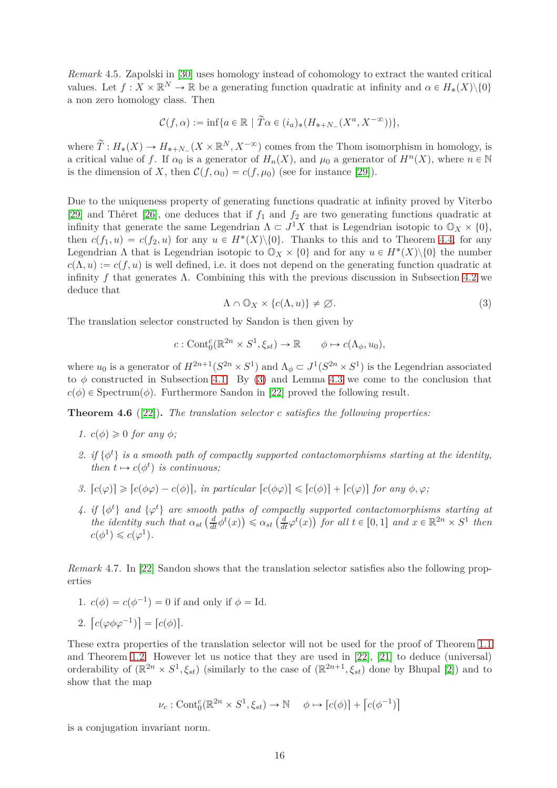<span id="page-15-3"></span>*Remark* 4.5*.* Zapolski in [\[30\]](#page-27-1) uses homology instead of cohomology to extract the wanted critical values. Let  $f: X \times \mathbb{R}^N \to \mathbb{R}$  be a generating function quadratic at infinity and  $\alpha \in H_*(X) \setminus \{0\}$ a non zero homology class. Then

$$
\mathcal{C}(f,\alpha) := \inf\{a \in \mathbb{R} \mid \widetilde{T}\alpha \in (i_a)_*(H_{*+N_-}(X^a, X^{-\infty}))\},\
$$

where  $\widetilde{T}: H_*(X) \to H_{*+N_-}(X \times \mathbb{R}^N, X^{-\infty})$  comes from the Thom isomorphism in homology, is a critical value of *f*. If  $\alpha_0$  is a generator of  $H_n(X)$ , and  $\mu_0$  a generator of  $H^n(X)$ , where  $n \in \mathbb{N}$ is the dimension of *X*, then  $\mathcal{C}(f, \alpha_0) = c(f, \mu_0)$  (see for instance [\[29\]](#page-27-2)).

Due to the uniqueness property of generating functions quadratic at infinity proved by Viterbo [\[29\]](#page-27-2) and Théret [\[26\]](#page-26-18), one deduces that if *f*<sup>1</sup> and *f*<sup>2</sup> are two generating functions quadratic at infinity that generate the same Legendrian  $\Lambda \subset J^1 X$  that is Legendrian isotopic to  $\mathbb{O}_X \times \{0\}$ , then  $c(f_1, u) = c(f_2, u)$  for any  $u \in H^*(X) \setminus \{0\}$ . Thanks to this and to Theorem [4.4,](#page-14-0) for any Legendrian  $\Lambda$  that is Legendrian isotopic to  $\mathbb{O}_X \times \{0\}$  and for any  $u \in H^*(X) \setminus \{0\}$  the number  $c(\Lambda, u) := c(f, u)$  is well defined, i.e. it does not depend on the generating function quadratic at infinity f that generates  $\Lambda$ . Combining this with the previous discussion in Subsection [4.2](#page-14-1) we deduce that

<span id="page-15-2"></span>
$$
\Lambda \cap \mathbb{O}_X \times \{c(\Lambda, u)\} \neq \varnothing. \tag{3}
$$

The translation selector constructed by Sandon is then given by

$$
c: \text{Cont}_{0}^{c}(\mathbb{R}^{2n} \times S^{1}, \xi_{st}) \to \mathbb{R} \qquad \phi \mapsto c(\Lambda_{\phi}, u_{0}),
$$

where  $u_0$  is a generator of  $H^{2n+1}(S^{2n} \times S^1)$  and  $\Lambda_{\phi} \subset J^1(S^{2n} \times S^1)$  is the Legendrian associated to  $\phi$  constructed in Subsection [4.1.](#page-12-0) By [\(3\)](#page-15-2) and Lemma 4.3 we come to the conclusion that  $c(\phi) \in$  Spectrum $(\phi)$ . Furthermore Sandon in [\[22\]](#page-26-11) proved the following result.

<span id="page-15-1"></span>**Theorem 4.6** ([\[22\]](#page-26-11))**.** *The translation selector c satisfies the following properties:*

- *1.*  $c(\phi) \geq 0$  *for any*  $\phi$ *;*
- 2. if  $\{\phi^t\}$  is a smooth path of compactly supported contactomorphisms starting at the identity, *then*  $t \mapsto c(\phi^t)$  *is continuous;*
- *3.*  $[c(\varphi)] \geqslant [c(\varphi\varphi) c(\varphi)]$ , in particular  $[c(\varphi\varphi)] \leqslant [c(\varphi)] + [c(\varphi)]$  for any  $\varphi, \varphi$ ;
- 4. if  $\{\phi^t\}$  and  $\{\varphi^t\}$  are smooth paths of compactly supported contactomorphisms starting at the identity such that  $\alpha_{st} \left( \frac{d}{dt} \phi^t(x) \right) \leq \alpha_{st} \left( \frac{d}{dt} \phi^t(x) \right)$  for all  $t \in [0,1]$  and  $x \in \mathbb{R}^{2n} \times S^1$  then  $c(\phi^1) \leqslant c(\varphi^1).$

<span id="page-15-0"></span>*Remark* 4.7*.* In [\[22\]](#page-26-11) Sandon shows that the translation selector satisfies also the following properties

1.  $c(\phi) = c(\phi^{-1}) = 0$  if and only if  $\phi = Id$ .

2. 
$$
\left[c(\varphi \phi \varphi^{-1})\right] = \left[c(\phi)\right].
$$

These extra properties of the translation selector will not be used for the proof of Theorem [1.1](#page-2-0) and Theorem [1.2.](#page-2-1) However let us notice that they are used in [\[22\]](#page-26-11), [\[21\]](#page-26-7) to deduce (universal) orderability of  $(\mathbb{R}^{2n} \times S^1, \xi_{st})$  (similarly to the case of  $(\mathbb{R}^{2n+1}, \xi_{st})$  done by Bhupal [\[2\]](#page-25-4)) and to show that the map

$$
\nu_c: \mathrm{Cont}^c_0(\mathbb{R}^{2n} \times S^1, \xi_{st}) \to \mathbb{N} \quad \phi \mapsto [c(\phi)] + [c(\phi^{-1})]
$$

is a conjugation invariant norm.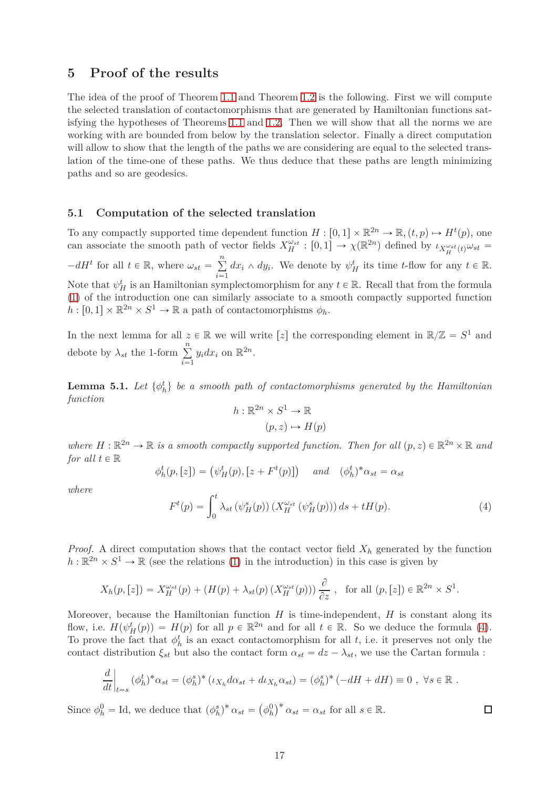## **5 Proof of the results**

The idea of the proof of Theorem [1.1](#page-2-0) and Theorem [1.2](#page-2-1) is the following. First we will compute the selected translation of contactomorphisms that are generated by Hamiltonian functions satisfying the hypotheses of Theorems [1.1](#page-2-0) and [1.2.](#page-2-1) Then we will show that all the norms we are working with are bounded from below by the translation selector. Finally a direct computation will allow to show that the length of the paths we are considering are equal to the selected translation of the time-one of these paths. We thus deduce that these paths are length minimizing paths and so are geodesics.

#### **5.1 Computation of the selected translation**

To any compactly supported time dependent function  $H : [0,1] \times \mathbb{R}^{2n} \to \mathbb{R}, (t,p) \mapsto H^t(p)$ , one can associate the smooth path of vector fields  $X_H^{\omega_{st}} : [0,1] \to \chi(\mathbb{R}^{2n})$  defined by  $\iota_{X_H^{\omega_{st}}(t)} \omega_{st} =$  $-dH<sup>t</sup>$  for all  $t \in \mathbb{R}$ , where  $\omega_{st} = \sum_{i=1}^{n}$  $\sum_{i=1}^{n} dx_i \wedge dy_i$ . We denote by  $\psi_H^t$  its time *t*-flow for any  $t \in \mathbb{R}$ . Note that  $\psi_H^t$  is an Hamiltonian symplectomorphism for any  $t \in \mathbb{R}$ . Recall that from the formula [\(1\)](#page-1-0) of the introduction one can similarly associate to a smooth compactly supported function  $h: [0,1] \times \mathbb{R}^{2n} \times S^1 \to \mathbb{R}$  a path of contactomorphisms  $\phi_h$ .

In the next lemma for all  $z \in \mathbb{R}$  we will write [*z*] the corresponding element in  $\mathbb{R}/\mathbb{Z} = S^1$  and debote by  $\lambda_{st}$  the 1-form  $\sum_{i=1}^{n}$  $i = 1$  $y_i dx_i$  on  $\mathbb{R}^{2n}$ .

<span id="page-16-1"></span>**Lemma 5.1.** Let  $\{\phi^t_h\}$  be a smooth path of contactomorphisms generated by the Hamiltonian *function*

$$
h: \mathbb{R}^{2n} \times S^1 \to \mathbb{R}
$$

$$
(p, z) \mapsto H(p)
$$

where  $H : \mathbb{R}^{2n} \to \mathbb{R}$  is a smooth compactly supported function. Then for all  $(p, z) \in \mathbb{R}^{2n} \times \mathbb{R}$  and *for all*  $t \in \mathbb{R}$ 

$$
\phi_h^t(p,[z]) = (\psi_H^t(p), [z + F^t(p)]) \quad and \quad (\phi_h^t)^* \alpha_{st} = \alpha_{st}
$$

*where*

<span id="page-16-0"></span>
$$
F^{t}(p) = \int_{0}^{t} \lambda_{st} \left(\psi_{H}^{s}(p)\right) \left(X_{H}^{\omega_{st}}\left(\psi_{H}^{s}(p)\right)\right) ds + tH(p). \tag{4}
$$

 $\Box$ 

*Proof.* A direct computation shows that the contact vector field  $X_h$  generated by the function  $h: \mathbb{R}^{2n} \times S^1 \to \mathbb{R}$  (see the relations [\(1\)](#page-1-0) in the introduction) in this case is given by

$$
X_h(p,[z]) = X_H^{\omega_{st}}(p) + (H(p) + \lambda_{st}(p) (X_H^{\omega_{st}}(p))) \frac{\partial}{\partial z}, \text{ for all } (p,[z]) \in \mathbb{R}^{2n} \times S^1.
$$

Moreover, because the Hamiltonian function  $H$  is time-independent,  $H$  is constant along its flow, i.e.  $H(\psi_H^t(p)) = H(p)$  for all  $p \in \mathbb{R}^{2n}$  and for all  $t \in \mathbb{R}$ . So we deduce the formula [\(4\)](#page-16-0). To prove the fact that  $\phi_h^t$  is an exact contactomorphism for all *t*, i.e. it preserves not only the contact distribution  $\xi_{st}$  but also the contact form  $\alpha_{st} = dz - \lambda_{st}$ , we use the Cartan formula :

$$
\frac{d}{dt}\Big|_{t=s} (\phi_h^t)^* \alpha_{st} = (\phi_h^s)^* (\iota_{X_h} d\alpha_{st} + d\iota_{X_h} \alpha_{st}) = (\phi_h^s)^* (-dH + dH) \equiv 0 , \ \forall s \in \mathbb{R} .
$$

Since  $\phi_h^0 = \text{Id}$ , we deduce that  $(\phi_h^s)^* \alpha_{st} = (\phi_h^0)^* \alpha_{st} = \alpha_{st}$  for all  $s \in \mathbb{R}$ .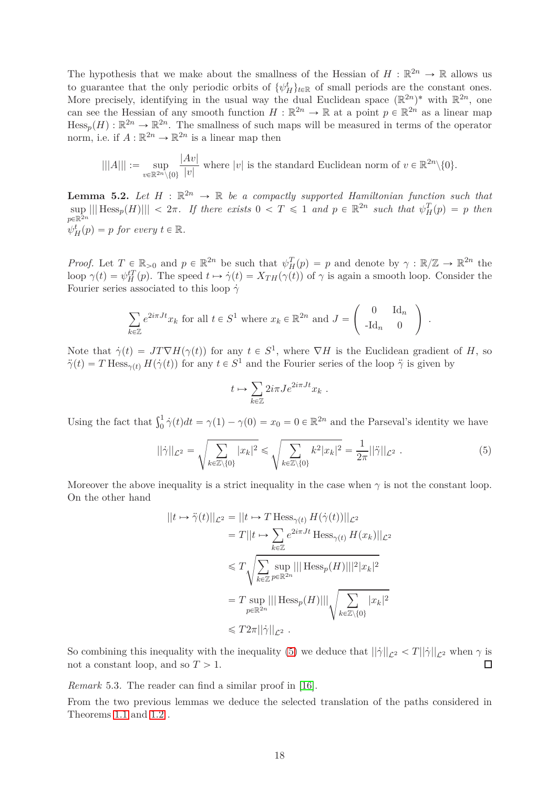The hypothesis that we make about the smallness of the Hessian of  $H : \mathbb{R}^{2n} \to \mathbb{R}$  allows us to guarantee that the only periodic orbits of  $\{\psi_H^t\}_{t \in \mathbb{R}}$  of small periods are the constant ones. More precisely, identifying in the usual way the dual Euclidean space  $(\mathbb{R}^{2n})^*$  with  $\mathbb{R}^{2n}$ , one can see the Hessian of any smooth function  $H : \mathbb{R}^{2n} \to \mathbb{R}$  at a point  $p \in \mathbb{R}^{2n}$  as a linear map  $Hess_p(H) : \mathbb{R}^{2n} \to \mathbb{R}^{2n}$ . The smallness of such maps will be measured in terms of the operator norm, i.e. if  $A : \mathbb{R}^{2n} \to \mathbb{R}^{2n}$  is a linear map then

$$
|||A||| := \sup_{v \in \mathbb{R}^{2n} \setminus \{0\}} \frac{|Av|}{|v|}
$$
 where  $|v|$  is the standard Euclidean norm of  $v \in \mathbb{R}^{2n} \setminus \{0\}.$ 

<span id="page-17-1"></span>**Lemma 5.2.** Let  $H : \mathbb{R}^{2n} \to \mathbb{R}$  be a compactly supported Hamiltonian function such that  $\sup_{x \to \infty}$  |||  $\text{Hess}_{p}(H)$ |||  $\lt 2\pi$ . If there exists  $0 \lt T \leq 1$  and  $p \in \mathbb{R}^{2n}$  such that  $\psi_{H}^{T}(p) = p$  then  $p \in \mathbb{R}^{\bar{2}n}$  $\psi_H^t(p) = p$  *for every*  $t \in \mathbb{R}$ *.* 

*Proof.* Let  $T \in \mathbb{R}_{>0}$  and  $p \in \mathbb{R}^{2n}$  be such that  $\psi_H^T(p) = p$  and denote by  $\gamma : \mathbb{R}/\mathbb{Z} \to \mathbb{R}^{2n}$  the loop  $\gamma(t) = \psi_H^{tT}(p)$ . The speed  $t \mapsto \dot{\gamma}(t) = X_{TH}(\gamma(t))$  of  $\gamma$  is again a smooth loop. Consider the Fourier series associated to this loop  $\dot{\gamma}$ 

$$
\sum_{k \in \mathbb{Z}} e^{2i\pi J t} x_k \text{ for all } t \in S^1 \text{ where } x_k \in \mathbb{R}^{2n} \text{ and } J = \begin{pmatrix} 0 & \text{Id}_n \\ -\text{Id}_n & 0 \end{pmatrix}.
$$

Note that  $\dot{\gamma}(t) = JT\nabla H(\gamma(t))$  for any  $t \in S^1$ , where  $\nabla H$  is the Euclidean gradient of *H*, so  $\ddot{\gamma}(t) = T \text{ Hess}_{\gamma(t)} H(\dot{\gamma}(t))$  for any  $t \in S^1$  and the Fourier series of the loop  $\ddot{\gamma}$  is given by

$$
t\mapsto \sum_{k\in\mathbb{Z}} 2i\pi Je^{2i\pi Jt}x_k\ .
$$

Using the fact that  $\int_0^1$  $\frac{1}{0} \dot{\gamma}(t) dt = \gamma(1) - \gamma(0) = x_0 = 0 \in \mathbb{R}^{2n}$  and the Parseval's identity we have

<span id="page-17-0"></span>
$$
||\dot{\gamma}||_{\mathcal{L}^{2}} = \sqrt{\sum_{k \in \mathbb{Z} \setminus \{0\}} |x_{k}|^{2}} \leq \sqrt{\sum_{k \in \mathbb{Z} \setminus \{0\}} k^{2} |x_{k}|^{2}} = \frac{1}{2\pi} ||\ddot{\gamma}||_{\mathcal{L}^{2}}.
$$
 (5)

Moreover the above inequality is a strict inequality in the case when  $\gamma$  is not the constant loop. On the other hand

$$
||t \mapsto \ddot{\gamma}(t)||_{\mathcal{L}^2} = ||t \mapsto T \operatorname{Hess}_{\gamma(t)} H(\dot{\gamma}(t))||_{\mathcal{L}^2}
$$
  
\n
$$
= T||t \mapsto \sum_{k \in \mathbb{Z}} e^{2i\pi Jt} \operatorname{Hess}_{\gamma(t)} H(x_k)||_{\mathcal{L}^2}
$$
  
\n
$$
\leq T \sqrt{\sum_{k \in \mathbb{Z}} \sup_{p \in \mathbb{R}^{2n}} |||\operatorname{Hess}_p(H)||^2 |x_k|^2}
$$
  
\n
$$
= T \sup_{p \in \mathbb{R}^{2n}} |||\operatorname{Hess}_p(H)||| \sqrt{\sum_{k \in \mathbb{Z} \setminus \{0\}} |x_k|^2}
$$
  
\n
$$
\leq T 2\pi ||\dot{\gamma}||_{\mathcal{L}^2}.
$$

So combining this inequality with the inequality [\(5\)](#page-17-0) we deduce that  $||\dot{\gamma}||_{\mathcal{L}^2} < T||\dot{\gamma}||_{\mathcal{L}^2}$  when  $\gamma$  is not a constant loop, and so  $T > 1$ . not a constant loop, and so  $T > 1$ .

*Remark* 5.3*.* The reader can find a similar proof in [\[16\]](#page-26-2).

From the two previous lemmas we deduce the selected translation of the paths considered in Theorems [1.1](#page-2-0) and [1.2](#page-2-1) .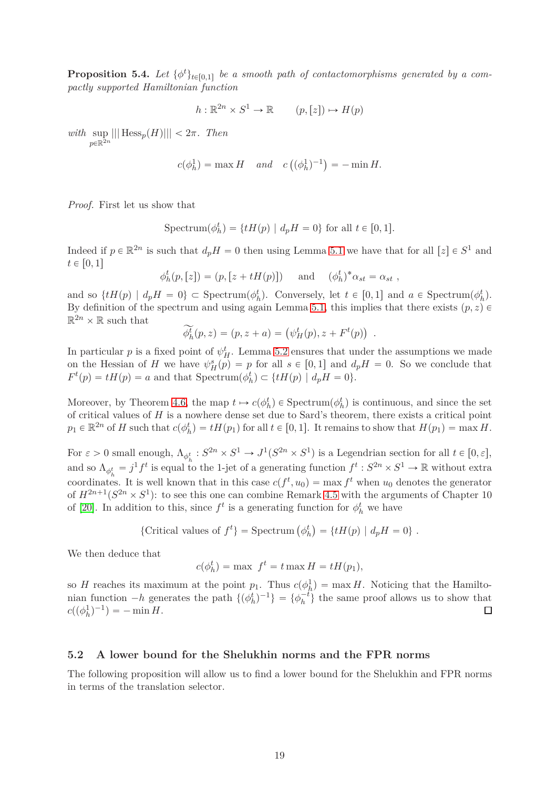<span id="page-18-0"></span>**Proposition 5.4.** Let  $\{\phi^t\}_{t\in[0,1]}$  be a smooth path of contactomorphisms generated by a com*pactly supported Hamiltonian function*

$$
h: \mathbb{R}^{2n} \times S^1 \to \mathbb{R} \qquad (p, [z]) \mapsto H(p)
$$

*with* sup  $\sup_{p \in \mathbb{R}^{2n}} |||$  Hess<sub>p</sub>(*H*)||| < 2*π. Then* 

$$
c(\phi_h^1) = \max H
$$
 and  $c((\phi_h^1)^{-1}) = -\min H$ .

*Proof.* First let us show that

$$
Spectrum(\phi_h^t) = \{ tH(p) \mid d_p H = 0 \} \text{ for all } t \in [0, 1].
$$

Indeed if  $p \in \mathbb{R}^{2n}$  is such that  $d_p H = 0$  then using Lemma [5.1](#page-16-1) we have that for all  $[z] \in S^1$  and  $t \in [0, 1]$ 

 $\phi_h^t(p,[z]) = (p,[z + tH(p)])$  and  $(\phi_h^t)^* \alpha_{st} = \alpha_{st}$ ,

and so  $\{tH(p) | d_pH = 0\} \subset \text{Spectrum}(\phi_h^t)$ . Conversely, let  $t \in [0,1]$  and  $a \in \text{Spectrum}(\phi_h^t)$ . By definition of the spectrum and using again Lemma [5.1,](#page-16-1) this implies that there exists  $(p, z) \in$  $\mathbb{R}^{2n} \times \mathbb{R}$  such that

$$
\widetilde{\phi}_h^t(p, z) = (p, z + a) = (\psi_H^t(p), z + F^t(p))
$$
.

In particular *p* is a fixed point of  $\psi_H^t$ . Lemma [5.2](#page-17-1) ensures that under the assumptions we made on the Hessian of *H* we have  $\psi_H^s(p) = p$  for all  $s \in [0,1]$  and  $d_p H = 0$ . So we conclude that  $F^t(p) = tH(p) = a$  and that Spectrum $(\phi^t_h) \subset \{tH(p) \mid d_pH = 0\}.$ 

Moreover, by Theorem [4.6,](#page-15-1) the map  $t \mapsto c(\phi_h^t) \in \text{Spectrum}(\phi_h^t)$  is continuous, and since the set of critical values of *H* is a nowhere dense set due to Sard's theorem, there exists a critical point  $p_1 \in \mathbb{R}^{2n}$  of *H* such that  $c(\phi_h^t) = tH(p_1)$  for all  $t \in [0,1]$ . It remains to show that  $H(p_1) = \max H$ .

For  $\varepsilon > 0$  small enough,  $\Lambda_{\phi_h^t} : S^{2n} \times S^1 \to J^1(S^{2n} \times S^1)$  is a Legendrian section for all  $t \in [0, \varepsilon]$ , and so  $\Lambda_{\phi_h^t} = j^1 f^t$  is equal to the 1-jet of a generating function  $f^t : S^{2n} \times S^1 \to \mathbb{R}$  without extra coordinates. It is well known that in this case  $c(f^t, u_0) = \max f^t$  when  $u_0$  denotes the generator of  $H^{2n+1}(S^{2n} \times S^1)$ : to see this one can combine Remark [4.5](#page-15-3) with the arguments of Chapter 10 of [\[20\]](#page-26-19). In addition to this, since  $f^t$  is a generating function for  $\phi_h^t$  we have

{Critical values of 
$$
f^t
$$
} = Spectrum  $(\phi_h^t)$  = { $tH(p) | d_pH = 0$  }.

We then deduce that

$$
c(\phi_h^t) = \max f^t = t \max H = tH(p_1),
$$

so *H* reaches its maximum at the point  $p_1$ . Thus  $c(\phi_h^1) = \max H$ . Noticing that the Hamiltonian function  $-h$  generates the path  $\{\phi_h^t\}^{-1}\} = \{\phi_h^{-t}\}\$  the same proof allows us to show that  $c((\phi_h^1)^{-1}) = -\min H.$ 

#### **5.2 A lower bound for the Shelukhin norms and the FPR norms**

The following proposition will allow us to find a lower bound for the Shelukhin and FPR norms in terms of the translation selector.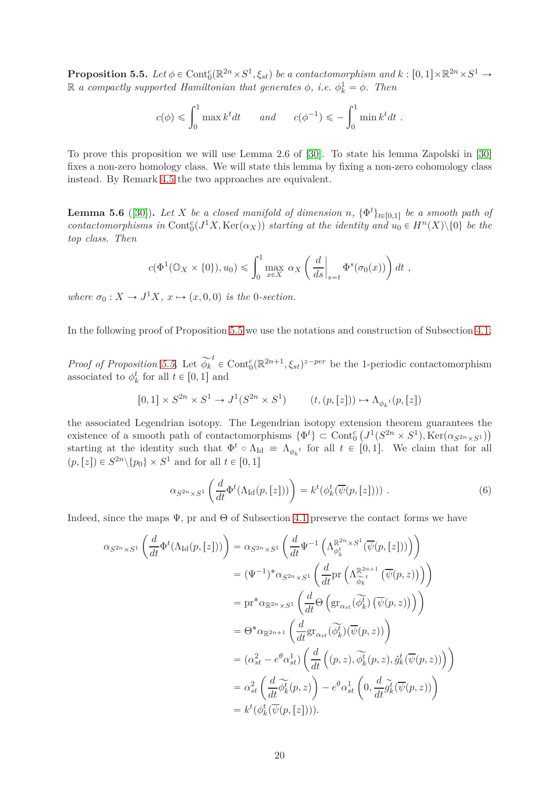<span id="page-19-0"></span>**Proposition 5.5.** Let  $\phi \in \text{Cont}^c_0(\mathbb{R}^{2n} \times S^1, \xi_{st})$  be a contactomorphism and  $k : [0,1] \times \mathbb{R}^{2n} \times S^1 \to$  $\mathbb{R}$  *a compactly supported Hamiltonian that generates*  $\phi$ , *i.e.*  $\phi_k^1 = \phi$ . Then

$$
c(\phi) \leqslant \int_0^1 \max k^t dt
$$
 and  $c(\phi^{-1}) \leqslant -\int_0^1 \min k^t dt$ .

To prove this proposition we will use Lemma 2.6 of [\[30\]](#page-27-1). To state his lemma Zapolski in [\[30\]](#page-27-1) fixes a non-zero homology class. We will state this lemma by fixing a non-zero cohomology class instead. By Remark [4.5](#page-15-3) the two approaches are equivalent.

<span id="page-19-1"></span>**Lemma 5.6** ([\[30\]](#page-27-1)). Let *X* be a closed manifold of dimension *n*,  $\{\Phi^t\}_{t\in[0,1]}$  be a smooth path of  $contactomorphisms in  $Cont_0^c(J^1X, Ker(\alpha_X))$  starting at the identity and  $u_0 \in H^n(X)\setminus\{0\}$  be the$ *top class. Then*

$$
c(\Phi^1(\mathbb{O}_X \times \{0\}), u_0) \leq \int_0^1 \max_{x \in X} \alpha_X \left(\frac{d}{ds}\Big|_{s=t} \Phi^s(\sigma_0(x))\right) dt,
$$

*where*  $\sigma_0: X \to J^1 X, x \mapsto (x, 0, 0)$  *is the* 0*-section.* 

In the following proof of Proposition [5.5](#page-19-0) we use the notations and construction of Subsection [4.1.](#page-12-0)

*Proof of Proposition* [5.5.](#page-19-0) Let  $\widetilde{\phi_k}^t \in \text{Cont}_{0}^{c}(\mathbb{R}^{2n+1}, \xi_{st})^{z-per}$  be the 1-periodic contactomorphism associated to  $\phi_k^t$  for all  $t \in [0, 1]$  and

$$
[0,1] \times S^{2n} \times S^1 \to J^1(S^{2n} \times S^1) \qquad (t,(p,[z])) \mapsto \Lambda_{\phi_k{}^t}(p,[z])
$$

the associated Legendrian isotopy. The Legendrian isotopy extension theorem guarantees the existence of a smooth path of contactomorphisms  $\{\Phi^t\} \subset \text{Cont}^c_0\left(J^1(S^{2n} \times S^1), \text{Ker}(\alpha_{S^{2n} \times S^1})\right)$ starting at the identity such that  $\Phi^t \circ \Lambda_{\text{Id}} = \Lambda_{\phi_k}$  for all  $t \in [0,1]$ . We claim that for all  $(p, [z]) \in S^{2n} \setminus \{p_0\} \times S^1$  and for all  $t \in [0, 1]$ 

<span id="page-19-2"></span>
$$
\alpha_{S^{2n}\times S^1}\left(\frac{d}{dt}\Phi^t(\Lambda_{\text{Id}}(p,[z]))\right) = k^t(\phi^t_k(\overline{\psi}(p,[z])))\tag{6}
$$

Indeed, since the maps  $\Psi$ , pr and  $\Theta$  of Subsection [4.1](#page-12-0) preserve the contact forms we have

$$
\alpha_{S^{2n}\times S^{1}}\left(\frac{d}{dt}\Phi^{t}(\Lambda_{\text{Id}}(p,[z]))\right) = \alpha_{S^{2n}\times S^{1}}\left(\frac{d}{dt}\Psi^{-1}\left(\Lambda_{\phi_{k}^{t}}^{\mathbb{R}^{2n}\times S^{1}}(\overline{\psi}(p,[z]))\right)\right)
$$
  
\n
$$
= (\Psi^{-1})^{*}\alpha_{S^{2n}\times S^{1}}\left(\frac{d}{dt}\text{Pr}\left(\Lambda_{\widehat{\phi}_{k}^{t}}^{\mathbb{R}^{2n+1}}(\overline{\psi}(p,z))\right)\right)
$$
  
\n
$$
= \text{pr}^{*}\alpha_{\mathbb{R}^{2n}\times S^{1}}\left(\frac{d}{dt}\Theta\left(\text{gr}_{\alpha_{st}}(\widetilde{\phi_{k}^{t}})(\overline{\psi}(p,z))\right)\right)
$$
  
\n
$$
= \Theta^{*}\alpha_{\mathbb{R}^{2n+1}}\left(\frac{d}{dt}\text{gr}_{\alpha_{st}}(\widetilde{\phi_{k}^{t}})(\overline{\psi}(p,z))\right)
$$
  
\n
$$
= (\alpha_{st}^{2} - e^{\theta}\alpha_{st}^{1})\left(\frac{d}{dt}\left((p,z),\widetilde{\phi_{k}^{t}}(p,z),\widetilde{g_{k}^{t}}(\overline{\psi}(p,z))\right)\right)
$$
  
\n
$$
= \alpha_{st}^{2}\left(\frac{d}{dt}\widetilde{\phi_{k}^{t}}(p,z)\right) - e^{\theta}\alpha_{st}^{1}\left(0,\frac{d}{dt}\widetilde{g_{k}^{t}}(\overline{\psi}(p,z))\right)
$$
  
\n
$$
= k^{t}(\phi_{k}^{t}(\overline{\psi}(p,[z)])).
$$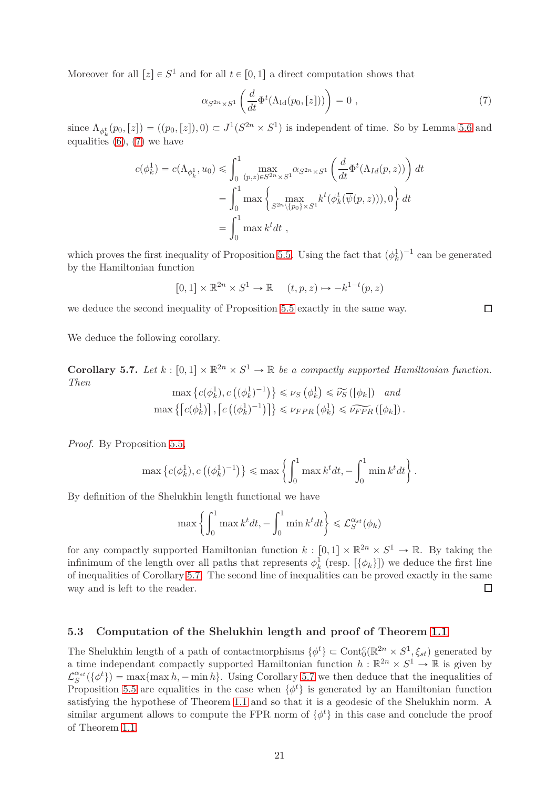Moreover for all  $[z] \in S^1$  and for all  $t \in [0,1]$  a direct computation shows that

<span id="page-20-1"></span>
$$
\alpha_{S^{2n}\times S^1}\left(\frac{d}{dt}\Phi^t(\Lambda_{\text{Id}}(p_0,[z]))\right) = 0 ,\qquad (7)
$$

since  $\Lambda_{\phi_k^t}(p_0,[z]) = ((p_0,[z]),0) \subset J^1(S^{2n} \times S^1)$  is independent of time. So by Lemma [5.6](#page-19-1) and equalities  $(6)$ ,  $(7)$  we have

$$
c(\phi_k^1) = c(\Lambda_{\phi_k^1}, u_0) \leq \int_0^1 \max_{(p,z)\in S^{2n}\times S^1} \alpha_{S^{2n}\times S^1} \left(\frac{d}{dt} \Phi^t(\Lambda_{Id}(p,z))\right) dt
$$
  
= 
$$
\int_0^1 \max \left\{\max_{S^{2n}\setminus\{p_0\}\times S^1} k^t(\phi_k^t(\overline{\psi}(p,z))), 0\right\} dt
$$
  
= 
$$
\int_0^1 \max k^t dt
$$
,

which proves the first inequality of Proposition [5.5.](#page-19-0) Using the fact that  $(\phi_k^1)^{-1}$  can be generated by the Hamiltonian function

$$
[0,1] \times \mathbb{R}^{2n} \times S^1 \to \mathbb{R} \quad (t,p,z) \mapsto -k^{1-t}(p,z)
$$

we deduce the second inequality of Proposition [5.5](#page-19-0) exactly in the same way.

We deduce the following corollary.

<span id="page-20-0"></span>**Corollary 5.7.** Let  $k : [0,1] \times \mathbb{R}^{2n} \times S^1 \to \mathbb{R}$  be a compactly supported Hamiltonian function. *Then*

$$
\max \left\{ c(\phi_k^1), c\left( (\phi_k^1)^{-1} \right) \right\} \leq \nu_S \left( \phi_k^1 \right) \leq \widetilde{\nu_S} \left( [\phi_k] \right) \quad and
$$
  

$$
\max \left\{ \left[ c(\phi_k^1) \right], \left[ c\left( (\phi_k^1)^{-1} \right) \right] \right\} \leq \nu_{FPR} \left( \phi_k^1 \right) \leq \widetilde{\nu_{FPR}} \left( [\phi_k] \right).
$$

*Proof.* By Proposition [5.5,](#page-19-0)

$$
\max \left\{c(\phi_k^1), c\left((\phi_k^1)^{-1}\right)\right\} \le \max \left\{\int_0^1 \max k^t dt, -\int_0^1 \min k^t dt\right\}.
$$

By definition of the Shelukhin length functional we have

$$
\max\left\{\int_0^1 \max k^t dt, -\int_0^1 \min k^t dt\right\} \leq \mathcal{L}_S^{\alpha_{st}}(\phi_k)
$$

for any compactly supported Hamiltonian function  $k : [0,1] \times \mathbb{R}^{2n} \times S^1 \to \mathbb{R}$ . By taking the infinimum of the length over all paths that represents  $\phi_k^1$  (resp.  $[\{\phi_k\}]$ ) we deduce the first line of inequalities of Corollary [5.7.](#page-20-0) The second line of inequalities can be proved exactly in the same way and is left to the reader.  $\Box$ 

### **5.3 Computation of the Shelukhin length and proof of Theorem [1.1](#page-2-0)**

The Shelukhin length of a path of contactmorphisms  $\{\phi^t\} \subset \text{Cont}^c_0(\mathbb{R}^{2n} \times S^1, \xi_{st})$  generated by a time independant compactly supported Hamiltonian function  $h : \mathbb{R}^{2n} \times S^1 \to \mathbb{R}$  is given by  $\mathcal{L}_S^{\alpha_{st}}(\{\phi^t\}) = \max\{\max h, -\min h\}.$  Using Corollary [5.7](#page-20-0) we then deduce that the inequalities of Proposition [5.5](#page-19-0) are equalities in the case when  $\{\phi^t\}$  is generated by an Hamiltonian function satisfying the hypothese of Theorem [1.1](#page-2-0) and so that it is a geodesic of the Shelukhin norm. A similar argument allows to compute the FPR norm of  $\{\phi^t\}$  in this case and conclude the proof of Theorem [1.1.](#page-2-0)

 $\Box$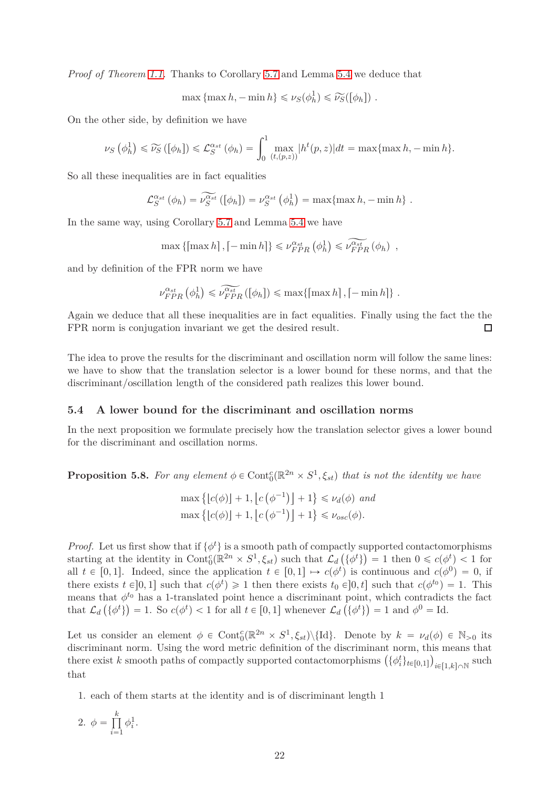*Proof of Theorem [1.1.](#page-2-0)* Thanks to Corollary [5.7](#page-20-0) and Lemma [5.4](#page-18-0) we deduce that

 $\max \{ \max h, -\min h \} \leq \nu_S(\phi_h^1) \leq \widetilde{\nu}_S([\phi_h])$ .

On the other side, by definition we have

$$
\nu_S\left(\phi_h^1\right) \leqslant \widetilde{\nu_S}\left(\left[\phi_h\right]\right) \leqslant \mathcal{L}_S^{\alpha_{st}}\left(\phi_h\right) = \int_0^1 \max_{\left(t,(p,z)\right)} \left|h^t(p,z)\right| dt = \max\{\max h, -\min h\}.
$$

So all these inequalities are in fact equalities

$$
\mathcal{L}_S^{\alpha_{st}}(\phi_h) = \widetilde{\nu_S^{\alpha_{st}}}([\phi_h]) = \nu_S^{\alpha_{st}}(\phi_h^1) = \max\{\max h, -\min h\}.
$$

In the same way, using Corollary [5.7](#page-20-0) and Lemma [5.4](#page-18-0) we have

 $\max \{ \left[ \max h \right], \left[ -\min h \right] \} \leq \nu_{FPR}^{\alpha_{st}} \left( \phi_h^1 \right) \leqslant \widetilde{\nu_{FPR}^{\alpha_{st}}} \left( \phi_h \right) ,$ 

and by definition of the FPR norm we have

$$
\nu_{FPR}^{\alpha_{st}}(\phi_h^1) \leq \widetilde{\nu_{FPR}^{\alpha_{st}}}([\phi_h]) \leq \max\{ \left[ \max h \right], \left[ -\min h \right] \}.
$$

Again we deduce that all these inequalities are in fact equalities. Finally using the fact the the FPR norm is conjugation invariant we get the desired result.  $\Box$ 

The idea to prove the results for the discriminant and oscillation norm will follow the same lines: we have to show that the translation selector is a lower bound for these norms, and that the discriminant/oscillation length of the considered path realizes this lower bound.

#### **5.4 A lower bound for the discriminant and oscillation norms**

In the next proposition we formulate precisely how the translation selector gives a lower bound for the discriminant and oscillation norms.

<span id="page-21-0"></span>**Proposition 5.8.** For any element  $\phi \in \text{Cont}^c_0(\mathbb{R}^{2n} \times S^1, \xi_{st})$  that is not the identity we have

$$
\max \left\{ \lfloor c(\phi) \rfloor + 1, \lfloor c(\phi^{-1}) \rfloor + 1 \right\} \le \nu_d(\phi) \text{ and}
$$

$$
\max \left\{ \lfloor c(\phi) \rfloor + 1, \lfloor c(\phi^{-1}) \rfloor + 1 \right\} \le \nu_{osc}(\phi).
$$

*Proof.* Let us first show that if  $\{\phi^t\}$  is a smooth path of compactly supported contactomorphisms starting at the identity in  $\text{Cont}_{0}^{c}(\mathbb{R}^{2n} \times S^{1}, \xi_{st})$  such that  $\mathcal{L}_{d}(\{\phi^{t}\}) = 1$  then  $0 \leq c(\phi^{t}) < 1$  for all  $t \in [0, 1]$ . Indeed, since the application  $t \in [0, 1] \mapsto c(\phi^t)$  is continuous and  $c(\phi^0) = 0$ , if there exists  $t \in ]0,1]$  such that  $c(\phi^t) \geq 1$  then there exists  $t_0 \in ]0,t]$  such that  $c(\phi^{t_0}) = 1$ . This means that  $\phi^{t_0}$  has a 1-translated point hence a discriminant point, which contradicts the fact that  $\mathcal{L}_d\left(\{\phi^t\}\right) = 1$ . So  $c(\phi^t) < 1$  for all  $t \in [0,1]$  whenever  $\mathcal{L}_d\left(\{\phi^t\}\right) = 1$  and  $\phi^0 = \text{Id}$ .

Let us consider an element  $\phi \in \text{Cont}_{0}^{c}(\mathbb{R}^{2n} \times S^{1}, \xi_{st})\backslash{\text{Id}}$ . Denote by  $k = \nu_{d}(\phi) \in \mathbb{N}_{>0}$  its discriminant norm. Using the word metric definition of the discriminant norm, this means that there exist *k* smooth paths of compactly supported contactomorphisms  $(\{\phi_i^t\}_{t\in[0,1]})_{i\in[1,k]\cap\mathbb{N}}$  such that

1. each of them starts at the identity and is of discriminant length 1

$$
2. \phi = \prod_{i=1}^{k} \phi_i^1.
$$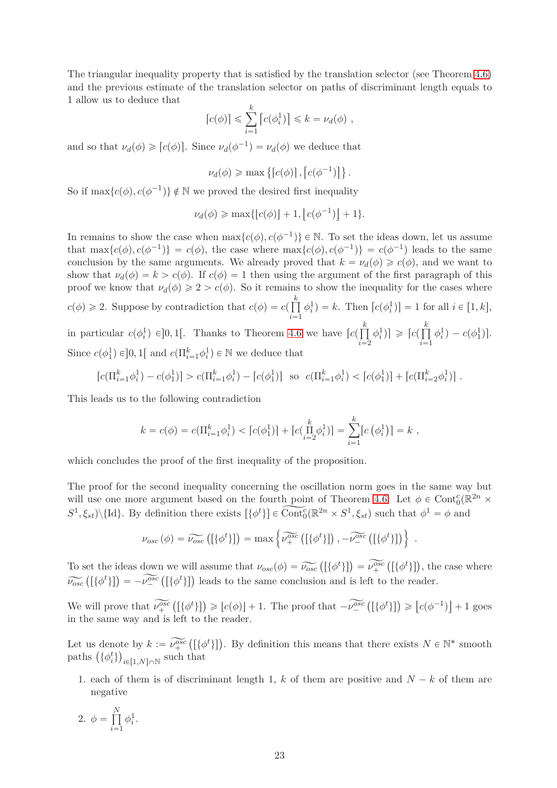The triangular inequality property that is satisfied by the translation selector (see Theorem [4.6\)](#page-15-1) and the previous estimate of the translation selector on paths of discriminant length equals to 1 allow us to deduce that

$$
[c(\phi)] \leqslant \sum_{i=1}^{k} [c(\phi_i^1)] \leqslant k = \nu_d(\phi) ,
$$

and so that  $\nu_d(\phi) \geqslant [c(\phi)]$ . Since  $\nu_d(\phi^{-1}) = \nu_d(\phi)$  we deduce that

$$
\nu_d(\phi) \ge \max\left\{ \left[ c(\phi) \right], \left[ c(\phi^{-1}) \right] \right\}.
$$

So if  $\max\{c(\phi), c(\phi^{-1})\} \notin \mathbb{N}$  we proved the desired first inequality

$$
\nu_d(\phi) \ge \max\{ \lfloor c(\phi) \rfloor + 1, \lfloor c(\phi^{-1}) \rfloor + 1 \}.
$$

In remains to show the case when  $\max\{c(\phi), c(\phi^{-1})\} \in \mathbb{N}$ . To set the ideas down, let us assume that  $\max\{c(\phi), c(\phi^{-1})\} = c(\phi)$ , the case where  $\max\{c(\phi), c(\phi^{-1})\} = c(\phi^{-1})$  leads to the same conclusion by the same arguments. We already proved that  $k = \nu_d(\phi) \geq c(\phi)$ , and we want to show that  $\nu_d(\phi) = k > c(\phi)$ . If  $c(\phi) = 1$  then using the argument of the first paragraph of this proof we know that  $\nu_d(\phi) \geq 2 > c(\phi)$ . So it remains to show the inequality for the cases where  $c(\phi) \geq 2$ . Suppose by contradiction that  $c(\phi) = c(\prod_{i=1}^{k}$  $i = 1$  $\phi_i^1$  = *k*. Then  $[c(\phi_i^1)] = 1$  for all  $i \in [1, k]$ , in particular  $c(\phi_i^1) \in ]0,1[$ . Thanks to Theorem [4.6](#page-15-1) we have  $\lceil c(\prod_{i=1}^k a_i^2) \rceil$  $i = 2$  $\phi_i^1$ )  $\geqslant \lceil c \rceil$   $\prod_{i=1}^k$  $i = 1$  $\phi_i^1$ ) –  $c(\phi_1^1)$ ].

Since  $c(\phi_1^1) \in ]0,1[$  and  $c(\Pi_{i=1}^k \phi_i^1) \in \mathbb{N}$  we deduce that

$$
\left[c(\Pi_{i=1}^k \phi_i^1) - c(\phi_1^1)\right] > c(\Pi_{i=1}^k \phi_i^1) - \left[c(\phi_1^1)\right] \text{ so } c(\Pi_{i=1}^k \phi_i^1) < \left[c(\phi_1^1)\right] + \left[c(\Pi_{i=2}^k \phi_i^1)\right].
$$

This leads us to the following contradiction

$$
k = c(\phi) = c(\Pi_{i=1}^k \phi_i^1) < \left[c(\phi_1^1)\right] + \left[c(\Pi_{i=2}^k \phi_i^1)\right] = \sum_{i=1}^k \left[c(\phi_i^1)\right] = k,
$$

which concludes the proof of the first inequality of the proposition.

The proof for the second inequality concerning the oscillation norm goes in the same way but will use one more argument based on the fourth point of Theorem [4.6.](#page-15-1) Let  $\phi \in \text{Cont}^c_0(\mathbb{R}^{2n} \times$  $S^1$ ,  $\xi_{st}$ )\{Id}. By definition there exists  $[\{\phi^t\}] \in \widehat{\text{Cont}^c_0}(\mathbb{R}^{2n} \times S^1, \xi_{st})$  such that  $\phi^1 = \phi$  and

$$
\nu_{osc}(\phi) = \widetilde{\nu_{osc}}\left(\left[\{\phi^t\}\right]\right) = \max \left\{\widetilde{\nu_+^{osc}}\left(\left[\{\phi^t\}\right]\right), -\widetilde{\nu_-^{osc}}\left(\left[\{\phi^t\}\right]\right)\right\} \ .
$$

To set the ideas down we will assume that  $\nu_{osc}(\phi) = \widetilde{\nu_{osc}}([\{\phi^t\}]) = \widetilde{\nu_+^{osc}}([\{\phi^t\}])$ , the case where  $\widetilde{\nu_{osc}}([\{\phi^t\}]) = -\widetilde{\nu_{-}^{osc}}([\{\phi^t\}])$  leads to the same conclusion and is left to the reader.

We will prove that  $\widetilde{\nu_+^{osc}}([\{\phi^t\}]) \geqslant [c(\phi)] + 1$ . The proof that  $-\widetilde{\nu_-^{osc}}([\{\phi^t\}]) \geqslant [c(\phi^{-1})] + 1$  goes in the same way and is left to the reader.

Let us denote by  $k := \widetilde{\nu_+^{osc}}([\{\phi^t\}])$ . By definition this means that there exists  $N \in \mathbb{N}^*$  smooth paths  $(\{\phi_i^t\})_{i \in [1,N] \cap \mathbb{N}}$  such that

1. each of them is of discriminant length 1,  $k$  of them are positive and  $N - k$  of them are negative

$$
2. \phi = \prod_{i=1}^{N} \phi_i^1.
$$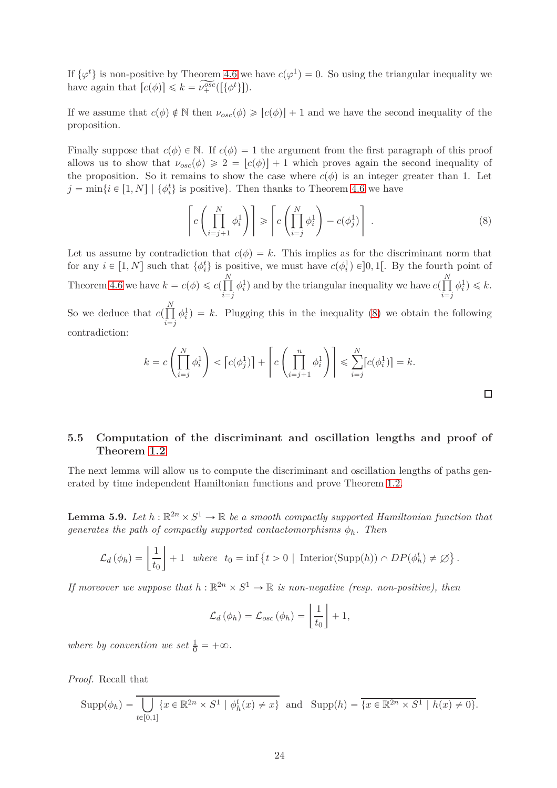If  $\{\varphi^t\}$  is non-positive by Theorem [4.6](#page-15-1) we have  $c(\varphi^1) = 0$ . So using the triangular inequality we have again that  $[c(\phi)] \leq k = \widetilde{\nu_+^{osc}}([\{\phi^t\}]).$ 

If we assume that  $c(\phi) \notin \mathbb{N}$  then  $\nu_{osc}(\phi) \geqslant |c(\phi)| + 1$  and we have the second inequality of the proposition.

Finally suppose that  $c(\phi) \in \mathbb{N}$ . If  $c(\phi) = 1$  the argument from the first paragraph of this proof allows us to show that  $\nu_{osc}(\phi) \geq 2 = |c(\phi)| + 1$  which proves again the second inequality of the proposition. So it remains to show the case where  $c(\phi)$  is an integer greater than 1. Let  $j = \min\{i \in [1, N] \mid \{\phi_i^t\} \text{ is positive}\}.$  Then thanks to Theorem [4.6](#page-15-1) we have

<span id="page-23-0"></span>
$$
\left[ c \left( \prod_{i=j+1}^{N} \phi_i^1 \right) \right] \geqslant \left[ c \left( \prod_{i=j}^{N} \phi_i^1 \right) - c(\phi_j^1) \right] . \tag{8}
$$

 $\Box$ 

Let us assume by contradiction that  $c(\phi) = k$ . This implies as for the discriminant norm that for any  $i \in [1, N]$  such that  $\{\phi_i^t\}$  is positive, we must have  $c(\phi_i^1) \in ]0,1[$ . By the fourth point of Theorem [4.6](#page-15-1) we have  $k = c(\phi) \leq c(\prod_{k=1}^{N}$  $i = j$  $\phi_i^1$ ) and by the triangular inequality we have  $c(\prod^N$  $i = j$  $\phi_i^1$ )  $\leqslant k$ .

So we deduce that  $c(\prod_{i=1}^{N}$  $i = j$  $\phi_i^1$ ) = k. Plugging this in the inequality [\(8\)](#page-23-0) we obtain the following contradiction:

$$
k = c \left( \prod_{i=j}^{N} \phi_i^1 \right) < \left[ c(\phi_j^1) \right] + \left[ c \left( \prod_{i=j+1}^{n} \phi_i^1 \right) \right] \leqslant \sum_{i=j}^{N} \left[ c(\phi_i^1) \right] = k.
$$

# **5.5 Computation of the discriminant and oscillation lengths and proof of Theorem [1.2](#page-2-1)**

The next lemma will allow us to compute the discriminant and oscillation lengths of paths generated by time independent Hamiltonian functions and prove Theorem [1.2.](#page-2-1)

<span id="page-23-1"></span>**Lemma 5.9.** Let  $h : \mathbb{R}^{2n} \times S^1 \to \mathbb{R}$  be a smooth compactly supported Hamiltonian function that *generates the path of compactly supported contactomorphisms*  $\phi_h$ *. Then* 

$$
\mathcal{L}_d(\phi_h) = \left\lfloor \frac{1}{t_0} \right\rfloor + 1 \quad \text{where} \quad t_0 = \inf \left\{ t > 0 \mid \text{Interior(Supp}(h)) \cap DP(\phi_h^t) \neq \emptyset \right\}.
$$

*If moreover we suppose that*  $h : \mathbb{R}^{2n} \times S^1 \to \mathbb{R}$  *is non-negative (resp. non-positive), then* 

$$
\mathcal{L}_d(\phi_h) = \mathcal{L}_{osc}(\phi_h) = \left\lfloor \frac{1}{t_0} \right\rfloor + 1,
$$

*where by convention we set*  $\frac{1}{0} = +\infty$ *.* 

*Proof.* Recall that

$$
\operatorname{Supp}(\phi_h) = \overline{\bigcup_{t \in [0,1]} \{x \in \mathbb{R}^{2n} \times S^1 \mid \phi_h^t(x) \neq x\}} \text{ and } \operatorname{Supp}(h) = \overline{\{x \in \mathbb{R}^{2n} \times S^1 \mid h(x) \neq 0\}}.
$$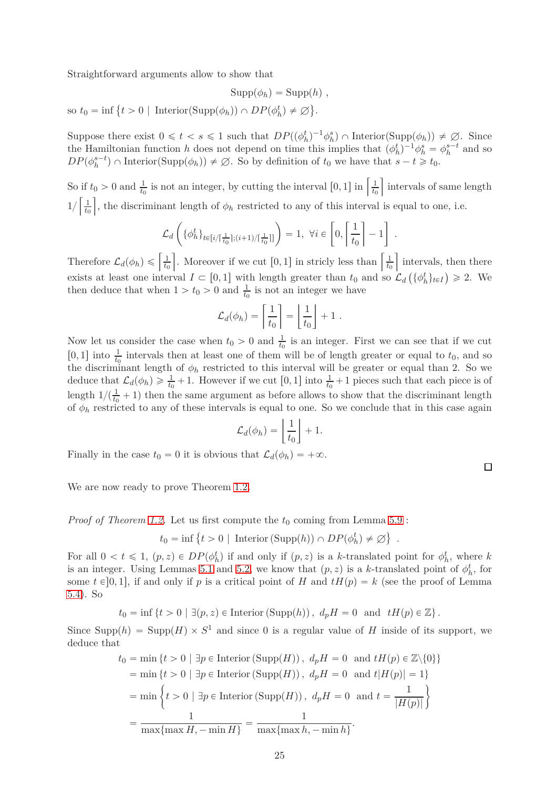Straightforward arguments allow to show that

$$
Supp(\phi_h) = Supp(h) ,
$$

 $\text{so } t_0 = \inf \{ t > 0 \mid \text{Interior}(\text{Supp}(\phi_h)) \cap DP(\phi_h^t) \neq \emptyset \}.$ 

Suppose there exist  $0 \le t < s \le 1$  such that  $DP((\phi_h^t)^{-1} \phi_h^s) \cap \text{Interior}(\text{Supp}(\phi_h)) \neq \emptyset$ . Since the Hamiltonian function *h* does not depend on time this implies that  $(\phi_h^t)^{-1} \phi_h^s = \phi_h^{s-t}$  and so  $DP(\phi_h^{s-t})$   $\cap$  Interior(Supp $(\phi_h)$ )  $\neq \emptyset$ . So by definition of  $t_0$  we have that  $s-t \geq t_0$ .

So if  $t_0 > 0$  and  $\frac{1}{t_0}$  is not an integer, by cutting the interval [0, 1] in  $\left[\frac{1}{t_0}\right]$ *t*0 Intervals of same length  $1/\left[\frac{1}{t_0}\right]$ *t*0 , the discriminant length of  $\phi_h$  restricted to any of this interval is equal to one, i.e.

$$
\mathcal{L}_d\left(\{\phi^t_h\}_{t\in[i/\lceil\frac{1}{t_0}\rceil; (i+1)/\lceil\frac{1}{t_0}\rceil]}\right) = 1, \ \forall i \in \left[0, \left\lceil\frac{1}{t_0}\right\rceil - 1\right].
$$

Therefore  $\mathcal{L}_d(\phi_h) \leq \left[\frac{1}{t_0}\right]$ *t*0 . Moreover if we cut [0, 1] in stricly less than  $\left[\frac{1}{t_0}\right]$ *t*0 Intervals, then there exists at least one interval  $I \subset [0,1]$  with length greater than  $t_0$  and so  $\mathcal{L}_d\left(\{\phi_h^t\}_{t \in I}\right) \geq 2$ . We then deduce that when  $1 > t_0 > 0$  and  $\frac{1}{t_0}$  is not an integer we have

$$
\mathcal{L}_d(\phi_h) = \left[\frac{1}{t_0}\right] = \left\lfloor \frac{1}{t_0} \right\rfloor + 1.
$$

Now let us consider the case when  $t_0 > 0$  and  $\frac{1}{t_0}$  is an integer. First we can see that if we cut [0, 1] into  $\frac{1}{t_0}$  intervals then at least one of them will be of length greater or equal to  $t_0$ , and so the discriminant length of  $\phi_h$  restricted to this interval will be greater or equal than 2. So we deduce that  $\mathcal{L}_d(\phi_h) \geq \frac{1}{t_0} + 1$ . However if we cut  $[0, 1]$  into  $\frac{1}{t_0} + 1$  pieces such that each piece is of length  $1/(\frac{1}{t_0} + 1)$  then the same argument as before allows to show that the discriminant length of  $\phi_h$  restricted to any of these intervals is equal to one. So we conclude that in this case again

$$
\mathcal{L}_d(\phi_h) = \left\lfloor \frac{1}{t_0} \right\rfloor + 1.
$$

Finally in the case  $t_0 = 0$  it is obvious that  $\mathcal{L}_d(\phi_h) = +\infty$ .

We are now ready to prove Theorem [1.2.](#page-2-1)

*Proof of Theorem [1.2.](#page-2-1)* Let us first compute the  $t_0$  coming from Lemma [5.9](#page-23-1) :

$$
t_0 = \inf \{ t > 0 \mid \text{Interior (Supp}(h)) \cap DP(\phi_h^t) \neq \emptyset \}
$$

For all  $0 < t \leq 1$ ,  $(p, z) \in DP(\phi_h^t)$  if and only if  $(p, z)$  is a *k*-translated point for  $\phi_h^t$ , where *k* is an integer. Using Lemmas [5.1](#page-16-1) and [5.2,](#page-17-1) we know that  $(p, z)$  is a *k*-translated point of  $\phi_h^t$ , for some  $t \in ]0,1]$ , if and only if *p* is a critical point of *H* and  $tH(p) = k$  (see the proof of Lemma [5.4\)](#page-18-0). So

$$
t_0 = \inf \{ t > 0 \mid \exists (p, z) \in \text{Interior } (\text{Supp}(h)), d_p H = 0 \text{ and } tH(p) \in \mathbb{Z} \}.
$$

Since  $\text{Supp}(h) = \text{Supp}(H) \times S^1$  and since 0 is a regular value of *H* inside of its support, we deduce that

$$
t_0 = \min \{ t > 0 \mid \exists p \in \text{Interior (Supp}(H)), d_p H = 0 \text{ and } tH(p) \in \mathbb{Z} \setminus \{0\} \}
$$
  
=  $\min \{ t > 0 \mid \exists p \in \text{Interior (Supp}(H)), d_p H = 0 \text{ and } t|H(p)| = 1 \}$   
=  $\min \{ t > 0 \mid \exists p \in \text{Interior (Supp}(H)), d_p H = 0 \text{ and } t = \frac{1}{|H(p)|} \}$   
=  $\frac{1}{\max \{ \max H, -\min H \}} = \frac{1}{\max \{ \max h, -\min h \}}.$ 

*.*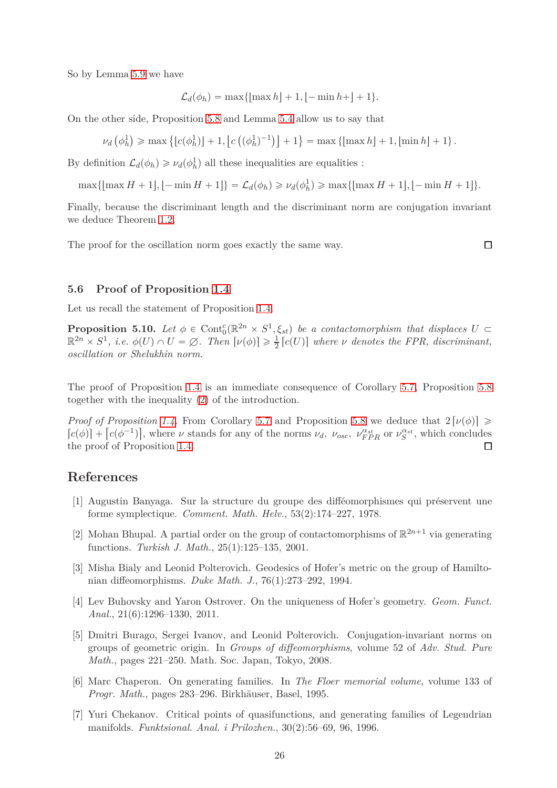So by Lemma [5.9](#page-23-1) we have

$$
\mathcal{L}_d(\phi_h) = \max\{ \lfloor \max h \rfloor + 1, \lfloor -\min h + \rfloor + 1 \}.
$$

On the other side, Proposition [5.8](#page-21-0) and Lemma [5.4](#page-18-0) allow us to say that

$$
\nu_d\left(\phi_h^1\right) \ge \max\left\{\left[c(\phi_h^1)\right] + 1, \left[c\left((\phi_h^1)^{-1}\right)\right] + 1\right\} = \max\left\{\left[\max h\right] + 1, \left[\min h\right] + 1\right\}.
$$

By definition  $\mathcal{L}_d(\phi_h) \geq \nu_d(\phi_h^1)$  all these inequalities are equalities :

 $\max{\{\max H + 1\}, \lfloor -\min H + 1\rfloor\}} = \mathcal{L}_d(\phi_h) \geq \nu_d(\phi_h^1) \geq \max{\{\max H + 1\}, \lfloor -\min H + 1\rfloor\}}.$ 

Finally, because the discriminant length and the discriminant norm are conjugation invariant we deduce Theorem [1.2.](#page-2-1)

The proof for the oscillation norm goes exactly the same way.

 $\Box$ 

### **5.6 Proof of Proposition [1.4](#page-4-1)**

Let us recall the statement of Proposition [1.4.](#page-4-1)

**Proposition 5.10.** Let  $\phi \in \text{Cont}_{0}^{c}(\mathbb{R}^{2n} \times S^{1}, \xi_{st})$  be a contactomorphism that displaces  $U \subset \mathbb{R}^{2n} \times S^{1}$ , *i.e.*  $\phi(U) \cap U = \emptyset$ . Then  $[\nu(\phi)] \geq \frac{1}{2} [c(U)]$  where  $\nu$  denotes the FPR, discriminant,  $\frac{1}{2}$   $[c(U)]$  where *v* denotes the FPR, discriminant, *oscillation or Shelukhin norm.*

The proof of Proposition [1.4](#page-4-1) is an immediate consequence of Corollary [5.7,](#page-20-0) Proposition [5.8](#page-21-0) together with the inequality [\(2\)](#page-4-2) of the introduction.

*Proof of Proposition [1.4.](#page-4-1)* From Corollary [5.7](#page-20-0) and Proposition [5.8](#page-21-0) we deduce that  $2[\nu(\phi)] \ge$  $[c(\phi)] + [c(\phi^{-1})]$ , where  $\nu$  stands for any of the norms  $\nu_d$ ,  $\nu_{osc}$ ,  $\nu_{FPR}^{\alpha_{st}}$  or  $\nu_{S}^{\alpha_{st}}$ , which concludes the proof of Proposition [1.4.](#page-4-1)  $\Box$ 

## <span id="page-25-3"></span>**References**

- [1] Augustin Banyaga. Sur la structure du groupe des difféomorphismes qui préservent une forme symplectique. *Comment. Math. Helv.*, 53(2):174–227, 1978.
- <span id="page-25-4"></span>[2] Mohan Bhupal. A partial order on the group of contactomorphisms of  $\mathbb{R}^{2n+1}$  via generating functions. *Turkish J. Math.*, 25(1):125–135, 2001.
- <span id="page-25-0"></span>[3] Misha Bialy and Leonid Polterovich. Geodesics of Hofer's metric on the group of Hamiltonian diffeomorphisms. *Duke Math. J.*, 76(1):273–292, 1994.
- <span id="page-25-1"></span>[4] Lev Buhovsky and Yaron Ostrover. On the uniqueness of Hofer's geometry. *Geom. Funct. Anal.*, 21(6):1296–1330, 2011.
- <span id="page-25-2"></span>[5] Dmitri Burago, Sergei Ivanov, and Leonid Polterovich. Conjugation-invariant norms on groups of geometric origin. In *Groups of diffeomorphisms*, volume 52 of *Adv. Stud. Pure Math.*, pages 221–250. Math. Soc. Japan, Tokyo, 2008.
- <span id="page-25-5"></span>[6] Marc Chaperon. On generating families. In *The Floer memorial volume*, volume 133 of *Progr. Math.*, pages 283–296. Birkhäuser, Basel, 1995.
- <span id="page-25-6"></span>[7] Yuri Chekanov. Critical points of quasifunctions, and generating families of Legendrian manifolds. *Funktsional. Anal. i Prilozhen.*, 30(2):56–69, 96, 1996.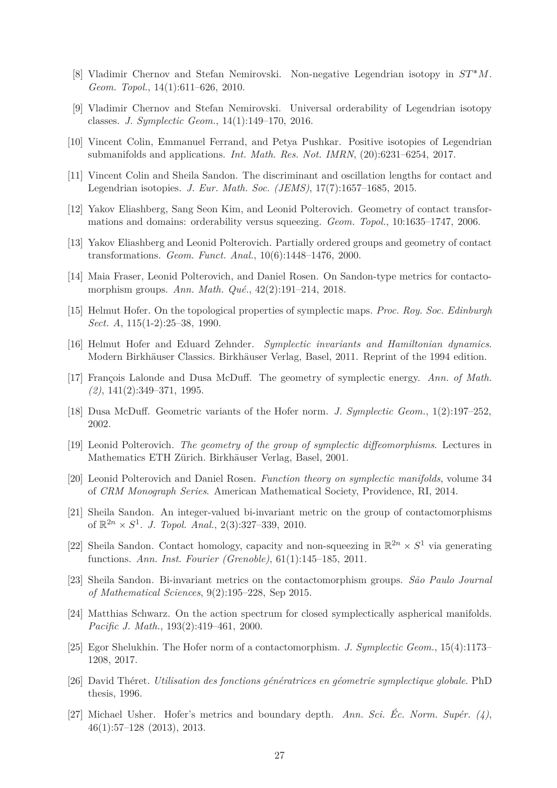- <span id="page-26-15"></span><span id="page-26-14"></span>[8] Vladimir Chernov and Stefan Nemirovski. Non-negative Legendrian isotopy in *ST* ˚*M*. *Geom. Topol.*, 14(1):611–626, 2010.
- <span id="page-26-16"></span>[9] Vladimir Chernov and Stefan Nemirovski. Universal orderability of Legendrian isotopy classes. *J. Symplectic Geom.*, 14(1):149–170, 2016.
- <span id="page-26-8"></span>[10] Vincent Colin, Emmanuel Ferrand, and Petya Pushkar. Positive isotopies of Legendrian submanifolds and applications. *Int. Math. Res. Not. IMRN*, (20):6231–6254, 2017.
- <span id="page-26-17"></span>[11] Vincent Colin and Sheila Sandon. The discriminant and oscillation lengths for contact and Legendrian isotopies. *J. Eur. Math. Soc. (JEMS)*, 17(7):1657–1685, 2015.
- <span id="page-26-13"></span>[12] Yakov Eliashberg, Sang Seon Kim, and Leonid Polterovich. Geometry of contact transformations and domains: orderability versus squeezing. *Geom. Topol.*, 10:1635–1747, 2006.
- <span id="page-26-6"></span>[13] Yakov Eliashberg and Leonid Polterovich. Partially ordered groups and geometry of contact transformations. *Geom. Funct. Anal.*, 10(6):1448–1476, 2000.
- <span id="page-26-0"></span>[14] Maia Fraser, Leonid Polterovich, and Daniel Rosen. On Sandon-type metrics for contactomorphism groups. *Ann. Math. Qué.*, 42(2):191–214, 2018.
- <span id="page-26-2"></span>[15] Helmut Hofer. On the topological properties of symplectic maps. *Proc. Roy. Soc. Edinburgh Sect. A*, 115(1-2):25–38, 1990.
- <span id="page-26-1"></span>[16] Helmut Hofer and Eduard Zehnder. *Symplectic invariants and Hamiltonian dynamics*. Modern Birkhäuser Classics. Birkhäuser Verlag, Basel, 2011. Reprint of the 1994 edition.
- [17] François Lalonde and Dusa McDuff. The geometry of symplectic energy. *Ann. of Math. (2)*, 141(2):349–371, 1995.
- <span id="page-26-12"></span><span id="page-26-3"></span>[18] Dusa McDuff. Geometric variants of the Hofer norm. *J. Symplectic Geom.*, 1(2):197–252, 2002.
- <span id="page-26-19"></span>[19] Leonid Polterovich. *The geometry of the group of symplectic diffeomorphisms*. Lectures in Mathematics ETH Zürich. Birkhäuser Verlag, Basel, 2001.
- <span id="page-26-7"></span>[20] Leonid Polterovich and Daniel Rosen. *Function theory on symplectic manifolds*, volume 34 of *CRM Monograph Series*. American Mathematical Society, Providence, RI, 2014.
- [21] Sheila Sandon. An integer-valued bi-invariant metric on the group of contactomorphisms of  $\mathbb{R}^{2n} \times S^1$ . *J. Topol. Anal.*, 2(3):327-339, 2010.
- <span id="page-26-11"></span>[22] Sheila Sandon. Contact homology, capacity and non-squeezing in  $\mathbb{R}^{2n} \times S^1$  via generating functions. *Ann. Inst. Fourier (Grenoble)*, 61(1):145–185, 2011.
- <span id="page-26-10"></span>[23] Sheila Sandon. Bi-invariant metrics on the contactomorphism groups. *São Paulo Journal of Mathematical Sciences*, 9(2):195–228, Sep 2015.
- <span id="page-26-4"></span>[24] Matthias Schwarz. On the action spectrum for closed symplectically aspherical manifolds. *Pacific J. Math.*, 193(2):419–461, 2000.
- <span id="page-26-9"></span>[25] Egor Shelukhin. The Hofer norm of a contactomorphism. *J. Symplectic Geom.*, 15(4):1173– 1208, 2017.
- <span id="page-26-18"></span>[26] David Théret. *Utilisation des fonctions génératrices en géometrie symplectique globale*. PhD thesis, 1996.
- <span id="page-26-5"></span>[27] Michael Usher. Hofer's metrics and boundary depth. *Ann. Sci. Éc. Norm. Supér. (4)*, 46(1):57–128 (2013), 2013.